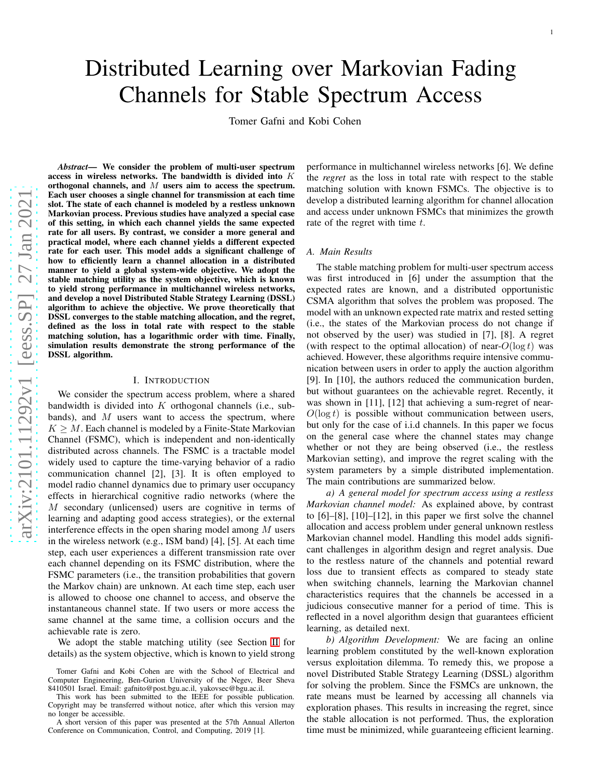Tomer Gafni and Kobi Cohen

*Abstract*— We consider the problem of multi-user spectrum access in wireless networks. The bandwidth is divided into  $K$ orthogonal channels, and  $M$  users aim to access the spectrum. Each user chooses a single channel for transmission at each time slot. The state of each channel is modeled by a restless unknown Markovian process. Previous studies have analyzed a special case of this setting, in which each channel yields the same expected rate for all users. By contrast, we consider a more general an d practical model, where each channel yields a different expected rate for each user. This model adds a significant challenge of how to efficiently learn a channel allocation in a distribute d manner to yield a global system-wide objective. We adopt the stable matching utility as the system objective, which is known to yield strong performance in multichannel wireless networks, and develop a novel Distributed Stable Strategy Learning (DSSL) algorithm to achieve the objective. We prove theoretically that DSSL converges to the stable matching allocation, and the regret, defined as the loss in total rate with respect to the stable matching solution, has a logarithmic order with time. Finally, simulation results demonstrate the strong performance of the DSSL algorithm.

#### I. INTRODUCTION

We consider the spectrum access problem, where a shared bandwidth is divided into  $K$  orthogonal channels (i.e., subbands), and  $M$  users want to access the spectrum, where  $K \geq M$ . Each channel is modeled by a Finite-State Markovian Channel (FSMC), which is independent and non-identically distributed across channels. The FSMC is a tractable model widely used to capture the time-varying behavior of a radio communication channel [2], [3]. It is often employed to model radio channel dynamics due to primary user occupancy effects in hierarchical cognitive radio networks (where th e M secondary (unlicensed) users are cognitive in terms of learning and adapting good access strategies), or the external interference effects in the open sharing model among  $M$  users in the wireless network (e.g., ISM band) [4], [5]. At each tim e step, each user experiences a different transmission rate over each channel depending on its FSMC distribution, where the FSMC parameters (i.e., the transition probabilities that govern the Markov chain) are unknown. At each time step, each user is allowed to choose one channel to access, and observe the instantaneous channel state. If two users or more access the same channel at the same time, a collision occurs and the achievable rate is zero.

We adopt the stable matching utility (see Section [II](#page-1-0) for details) as the system objective, which is known to yield strong

performance in multichannel wireless networks [6]. We defin e the *regret* as the loss in total rate with respect to the stable matching solution with known FSMCs. The objective is to develop a distributed learning algorithm for channel allocation and access under unknown FSMCs that minimizes the growth rate of the regret with time t.

#### *A. Main Results*

The stable matching problem for multi-user spectrum access was first introduced in [6] under the assumption that the expected rates are known, and a distributed opportunistic CSMA algorithm that solves the problem was proposed. The model with an unknown expected rate matrix and rested settin g (i.e., the states of the Markovian process do not change if not observed by the user) was studied in [7], [8]. A regret (with respect to the optimal allocation) of near- $O(\log t)$  was achieved. However, these algorithms require intensive communication between users in order to apply the auction algorithm [9]. In [10], the authors reduced the communication burden, but without guarantees on the achievable regret. Recently, it was shown in [11], [12] that achieving a sum-regret of near- $O(\log t)$  is possible without communication between users, but only for the case of i.i.d channels. In this paper we focus on the general case where the channel states may change whether or not they are being observed (i.e., the restless Markovian setting), and improve the regret scaling with the system parameters by a simple distributed implementation. The main contributions are summarized below.

*a) A general model for spectrum access using a restless Markovian channel model:* As explained above, by contrast to [6]–[8], [10]–[12], in this paper we first solve the channe l allocation and access problem under general unknown restless Markovian channel model. Handling this model adds significant challenges in algorithm design and regret analysis. Due to the restless nature of the channels and potential reward loss due to transient effects as compared to steady state when switching channels, learning the Markovian channel characteristics requires that the channels be accessed in a judicious consecutive manner for a period of time. This is reflected in a novel algorithm design that guarantees efficient learning, as detailed next.

*b) Algorithm Development:* We are facing an online learning problem constituted by the well-known exploratio n versus exploitation dilemma. To remedy this, we propose a novel Distributed Stable Strategy Learning (DSSL) algorithm for solving the problem. Since the FSMCs are unknown, the rate means must be learned by accessing all channels via exploration phases. This results in increasing the regret, since the stable allocation is not performed. Thus, the exploration time must be minimized, while guaranteeing efficient learning.

Tomer Gafni and Kobi Cohen are with the School of Electrical and Computer Engineering, Ben-Gurion University of the Negev, Beer Sheva 8410501 Israel. Email: gafnito@post.bgu.ac.il, yakovsec@bgu.ac.il.

This work has been submitted to the IEEE for possible publication. Copyright may be transferred without notice, after which this version may no longer be accessible.

A short version of this paper was presented at the 57th Annual Allerton Conference on Communication, Control, and Computing, 2019 [1].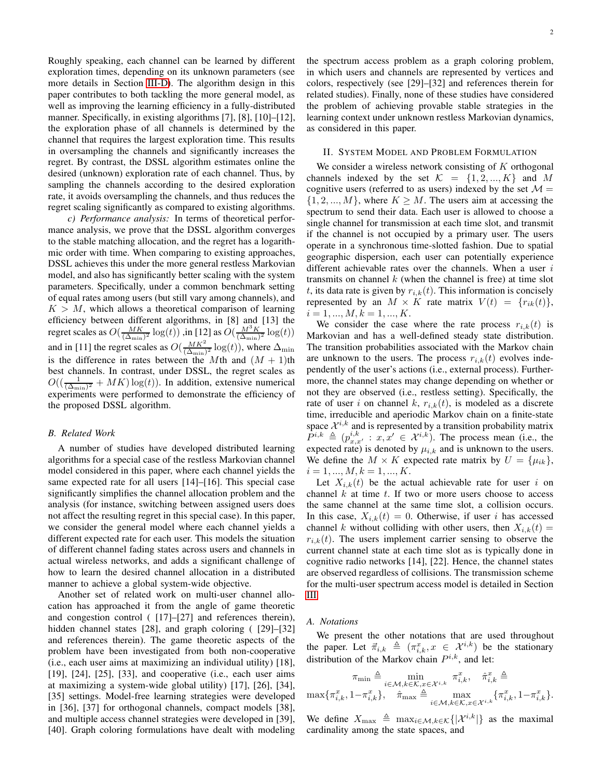Roughly speaking, each channel can be learned by different exploration times, depending on its unknown parameters (see more details in Section [III-D\)](#page-4-0). The algorithm design in this paper contributes to both tackling the more general model, as well as improving the learning efficiency in a fully-distributed manner. Specifically, in existing algorithms [7], [8], [10]–[12], the exploration phase of all channels is determined by the channel that requires the largest exploration time. This results in oversampling the channels and significantly increases the regret. By contrast, the DSSL algorithm estimates online the desired (unknown) exploration rate of each channel. Thus, by sampling the channels according to the desired exploration rate, it avoids oversampling the channels, and thus reduces the regret scaling significantly as compared to existing algorithms.

*c) Performance analysis:* In terms of theoretical performance analysis, we prove that the DSSL algorithm converges to the stable matching allocation, and the regret has a logarithmic order with time. When comparing to existing approaches, DSSL achieves this under the more general restless Markovian model, and also has significantly better scaling with the system parameters. Specifically, under a common benchmark setting of equal rates among users (but still vary among channels), and  $K > M$ , which allows a theoretical comparison of learning efficiency between different algorithms, in [8] and [13] the regret scales as  $O(\frac{MK}{(\Delta_{\min})^2} \log(t))$  , in [12] as  $O(\frac{M^3 K}{(\Delta_{\min})^2} \log(t))$ and in [11] the regret scales as  $O(\frac{MK^2}{(\Delta)})$  $\frac{M}{(\Delta_{\min})^2} \log(t)$ ), where  $\Delta_{\min}$ is the difference in rates between the Mth and  $(M + 1)$ th best channels. In contrast, under DSSL, the regret scales as  $O((\frac{1}{(\Delta_{\min})^2} + MK) \log(t))$ . In addition, extensive numerical experiments were performed to demonstrate the efficiency of the proposed DSSL algorithm.

## *B. Related Work*

A number of studies have developed distributed learning algorithms for a special case of the restless Markovian channel model considered in this paper, where each channel yields the same expected rate for all users [14]–[16]. This special case significantly simplifies the channel allocation problem and the analysis (for instance, switching between assigned users does not affect the resulting regret in this special case). In this paper, we consider the general model where each channel yields a different expected rate for each user. This models the situation of different channel fading states across users and channels in actual wireless networks, and adds a significant challenge of how to learn the desired channel allocation in a distributed manner to achieve a global system-wide objective.

Another set of related work on multi-user channel allocation has approached it from the angle of game theoretic and congestion control ( [17]–[27] and references therein), hidden channel states [28], and graph coloring ( [29]–[32] and references therein). The game theoretic aspects of the problem have been investigated from both non-cooperative (i.e., each user aims at maximizing an individual utility) [18], [19], [24], [25], [33], and cooperative (i.e., each user aims at maximizing a system-wide global utility) [17], [26], [34], [35] settings. Model-free learning strategies were developed in [36], [37] for orthogonal channels, compact models [38], and multiple access channel strategies were developed in [39], [40]. Graph coloring formulations have dealt with modeling

the spectrum access problem as a graph coloring problem, in which users and channels are represented by vertices and colors, respectively (see [29]–[32] and references therein for related studies). Finally, none of these studies have considered the problem of achieving provable stable strategies in the learning context under unknown restless Markovian dynamics, as considered in this paper.

#### <span id="page-1-0"></span>II. SYSTEM MODEL AND PROBLEM FORMULATION

We consider a wireless network consisting of  $K$  orthogonal channels indexed by the set  $\mathcal{K} = \{1, 2, ..., K\}$  and M cognitive users (referred to as users) indexed by the set  $\mathcal{M} =$  $\{1, 2, ..., M\}$ , where  $K \geq M$ . The users aim at accessing the spectrum to send their data. Each user is allowed to choose a single channel for transmission at each time slot, and transmit if the channel is not occupied by a primary user. The users operate in a synchronous time-slotted fashion. Due to spatial geographic dispersion, each user can potentially experience different achievable rates over the channels. When a user  $i$ transmits on channel  $k$  (when the channel is free) at time slot t, its data rate is given by  $r_{i,k}(t)$ . This information is concisely represented by an  $M \times K$  rate matrix  $V(t) = \{r_{ik}(t)\},$  $i = 1, ..., M, k = 1, ..., K$ .

We consider the case where the rate process  $r_{i,k}(t)$  is Markovian and has a well-defined steady state distribution. The transition probabilities associated with the Markov chain are unknown to the users. The process  $r_{i,k}(t)$  evolves independently of the user's actions (i.e., external process). Furthermore, the channel states may change depending on whether or not they are observed (i.e., restless setting). Specifically, the rate of user i on channel k,  $r_{i,k}(t)$ , is modeled as a discrete time, irreducible and aperiodic Markov chain on a finite-state space  $\mathcal{X}^{i,k}$  and is represented by a transition probability matrix  $\hat{P}^{i,k} \triangleq (p_{x,x'}^{i,k} : x, x' \in \mathcal{X}^{i,k})$ . The process mean (i.e., the expected rate) is denoted by  $\mu_{i,k}$  and is unknown to the users. We define the  $M \times K$  expected rate matrix by  $U = \{\mu_{ik}\},\$  $i = 1, ..., M, k = 1, ..., K$ .

Let  $X_{i,k}(t)$  be the actual achievable rate for user i on channel  $k$  at time  $t$ . If two or more users choose to access the same channel at the same time slot, a collision occurs. In this case,  $X_{i,k}(t) = 0$ . Otherwise, if user i has accessed channel k without colliding with other users, then  $X_{i,k}(t) =$  $r_{i,k}(t)$ . The users implement carrier sensing to observe the current channel state at each time slot as is typically done in cognitive radio networks [14], [22]. Hence, the channel states are observed regardless of collisions. The transmission scheme for the multi-user spectrum access model is detailed in Section [III.](#page-2-0)

## *A. Notations*

We present the other notations that are used throughout the paper. Let  $\vec{\pi}_{i,k} \triangleq (\pi_{i,k}^x, x \in \mathcal{X}^{i,k})$  be the stationary distribution of the Markov chain  $P^{i,k}$ , and let:

$$
\pi_{\min} \triangleq \min_{i \in \mathcal{M}, k \in \mathcal{K}, x \in \mathcal{X}^{i,k}} \pi_{i,k}^x, \quad \hat{\pi}_{i,k}^x \triangleq
$$

$$
\max \{\pi_{i,k}^x, 1 - \pi_{i,k}^x\}, \quad \hat{\pi}_{\max} \triangleq \max_{i \in \mathcal{M}, k \in \mathcal{K}, x \in \mathcal{X}^{i,k}} \{\pi_{i,k}^x, 1 - \pi_{i,k}^x\}.
$$

We define  $X_{\text{max}} \triangleq \max_{i \in \mathcal{M}, k \in \mathcal{K}} \{|\mathcal{X}^{i,k}|\}$  as the maximal cardinality among the state spaces, and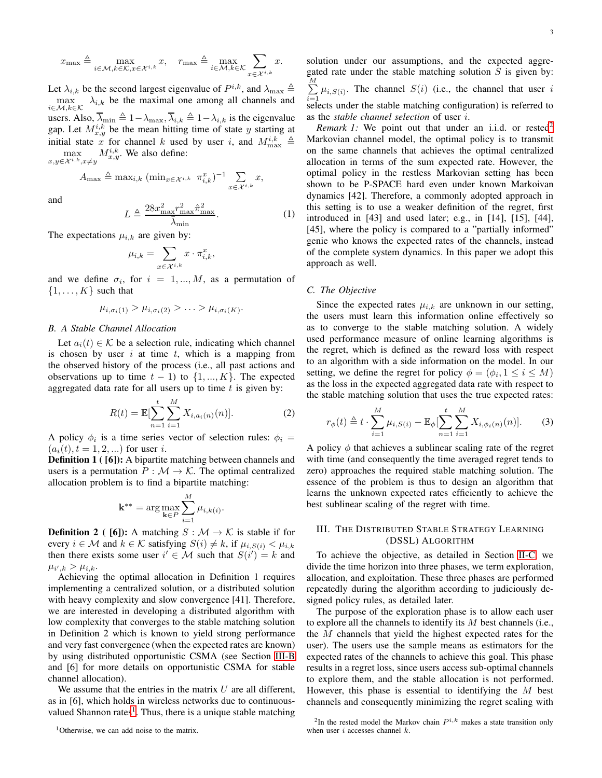$$
x_{\max}\triangleq\max_{i\in\mathcal{M},k\in\mathcal{K},x\in\mathcal{X}^{i,k}}x,\quad r_{\max}\triangleq\max_{i\in\mathcal{M},k\in\mathcal{K}}\sum_{x\in\mathcal{X}^{i,k}}x.
$$

Let  $\lambda_{i,k}$  be the second largest eigenvalue of  $P^{i,k}$ , and  $\lambda_{\max} \triangleq$  $\max_{i \in \mathcal{M}, k \in \mathcal{K}} \lambda_{i,k}$  be the maximal one among all channels and users. Also,  $\overline{\lambda}_{min} \triangleq 1 - \lambda_{max}, \overline{\lambda}_{i,k} \triangleq 1 - \lambda_{i,k}$  is the eigenvalue gap. Let  $M_{x,y}^{i,k}$  be the mean hitting time of state y starting at initial state x for channel k used by user i, and  $M_{\text{max}}^{i,k} \triangleq$  $\max_{x,y\in\mathcal{X}^{i,k},x\neq y} M_{x,y}^{i,k}$ . We also define:

> $A_{\max} \triangleq \max_{i,k} (\min_{x \in \mathcal{X}^{i,k}} \pi_{i,k}^x)^{-1} \quad \sum_{k}$  $x \in \mathcal{X}^{i,k}$ x,

and

<span id="page-2-4"></span>
$$
L \triangleq \frac{28x_{\text{max}}^2 r_{\text{max}}^2 \hat{\pi}_{\text{max}}^2}{\bar{\lambda}_{\text{min}}}.
$$
 (1)

The expectations  $\mu_{i,k}$  are given by:

$$
\mu_{i,k} = \sum_{x \in \mathcal{X}^{i,k}} x \cdot \pi_{i,k}^x,
$$

and we define  $\sigma_i$ , for  $i = 1, ..., M$ , as a permutation of  $\{1, \ldots, K\}$  such that

$$
\mu_{i,\sigma_i(1)} > \mu_{i,\sigma_i(2)} > \ldots > \mu_{i,\sigma_i(K)}.
$$

## *B. A Stable Channel Allocation*

Let  $a_i(t) \in \mathcal{K}$  be a selection rule, indicating which channel is chosen by user  $i$  at time  $t$ , which is a mapping from the observed history of the process (i.e., all past actions and observations up to time  $t - 1$ ) to  $\{1, ..., K\}$ . The expected aggregated data rate for all users up to time  $t$  is given by:

$$
R(t) = \mathbb{E}[\sum_{n=1}^{t} \sum_{i=1}^{M} X_{i, a_i(n)}(n)].
$$
 (2)

A policy  $\phi_i$  is a time series vector of selection rules:  $\phi_i =$  $(a_i(t), t = 1, 2, ...)$  for user i.

**Definition 1** ( [6]): A bipartite matching between channels and users is a permutation  $P : \mathcal{M} \to \mathcal{K}$ . The optimal centralized allocation problem is to find a bipartite matching:

$$
\mathbf{k}^{**} = \arg \max_{\mathbf{k} \in P} \sum_{i=1}^{M} \mu_{i,k(i)}.
$$

**Definition 2** ( [6]): A matching  $S : \mathcal{M} \to \mathcal{K}$  is stable if for every  $i \in \mathcal{M}$  and  $k \in \mathcal{K}$  satisfying  $S(i) \neq k$ , if  $\mu_{i,S(i)} < \mu_{i,k}$ then there exists some user  $i' \in \mathcal{M}$  such that  $S(i') = k$  and  $\mu_{i',k} > \mu_{i,k}.$ 

Achieving the optimal allocation in Definition 1 requires implementing a centralized solution, or a distributed solution with heavy complexity and slow convergence [41]. Therefore, we are interested in developing a distributed algorithm with low complexity that converges to the stable matching solution in Definition 2 which is known to yield strong performance and very fast convergence (when the expected rates are known) by using distributed opportunistic CSMA (see Section [III-B](#page-3-0) and [6] for more details on opportunistic CSMA for stable channel allocation).

We assume that the entries in the matrix  $U$  are all different, as in [6], which holds in wireless networks due to continuous-valued Shannon rates<sup>[1](#page-2-1)</sup>. Thus, there is a unique stable matching

<span id="page-2-1"></span><sup>1</sup>Otherwise, we can add noise to the matrix.

solution under our assumptions, and the expected aggregated rate under the stable matching solution  $S$  is given by:  $\frac{M}{\sum}$  $\sum_{i=1}^{\infty} \mu_{i,S(i)}$ . The channel  $S(i)$  (i.e., the channel that user i selects under the stable matching configuration) is referred to as the *stable channel selection* of user i.

*Remark 1:* We point out that under an i.i.d. or rested<sup>[2](#page-2-2)</sup> Markovian channel model, the optimal policy is to transmit on the same channels that achieves the optimal centralized allocation in terms of the sum expected rate. However, the optimal policy in the restless Markovian setting has been shown to be P-SPACE hard even under known Markoivan dynamics [42]. Therefore, a commonly adopted approach in this setting is to use a weaker definition of the regret, first introduced in [43] and used later; e.g., in [14], [15], [44], [45], where the policy is compared to a "partially informed" genie who knows the expected rates of the channels, instead of the complete system dynamics. In this paper we adopt this approach as well.

### <span id="page-2-3"></span>*C. The Objective*

Since the expected rates  $\mu_{i,k}$  are unknown in our setting, the users must learn this information online effectively so as to converge to the stable matching solution. A widely used performance measure of online learning algorithms is the regret, which is defined as the reward loss with respect to an algorithm with a side information on the model. In our setting, we define the regret for policy  $\phi = (\phi_i, 1 \le i \le M)$ as the loss in the expected aggregated data rate with respect to the stable matching solution that uses the true expected rates:

<span id="page-2-5"></span>
$$
r_{\phi}(t) \triangleq t \cdot \sum_{i=1}^{M} \mu_{i,S(i)} - \mathbb{E}_{\phi}[\sum_{n=1}^{t} \sum_{i=1}^{M} X_{i,\phi_i(n)}(n)]. \tag{3}
$$

A policy  $\phi$  that achieves a sublinear scaling rate of the regret with time (and consequently the time averaged regret tends to zero) approaches the required stable matching solution. The essence of the problem is thus to design an algorithm that learns the unknown expected rates efficiently to achieve the best sublinear scaling of the regret with time.

# <span id="page-2-0"></span>III. THE DISTRIBUTED STABLE STRATEGY LEARNING (DSSL) ALGORITHM

To achieve the objective, as detailed in Section [II-C,](#page-2-3) we divide the time horizon into three phases, we term exploration, allocation, and exploitation. These three phases are performed repeatedly during the algorithm according to judiciously designed policy rules, as detailed later.

The purpose of the exploration phase is to allow each user to explore all the channels to identify its M best channels (i.e., the M channels that yield the highest expected rates for the user). The users use the sample means as estimators for the expected rates of the channels to achieve this goal. This phase results in a regret loss, since users access sub-optimal channels to explore them, and the stable allocation is not performed. However, this phase is essential to identifying the  $M$  best channels and consequently minimizing the regret scaling with

<span id="page-2-2"></span><sup>&</sup>lt;sup>2</sup>In the rested model the Markov chain  $P^{i,k}$  makes a state transition only when user i accesses channel  $k$ .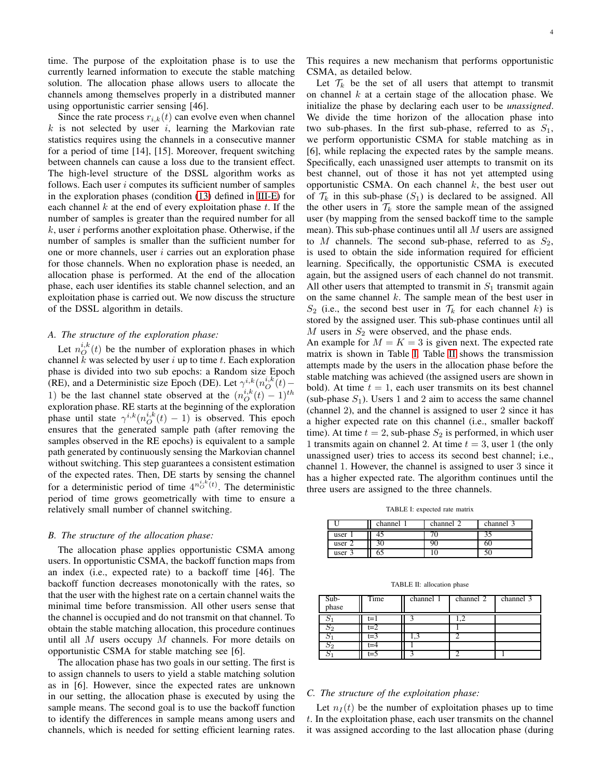time. The purpose of the exploitation phase is to use the currently learned information to execute the stable matching solution. The allocation phase allows users to allocate the channels among themselves properly in a distributed manner using opportunistic carrier sensing [46].

Since the rate process  $r_{i,k}(t)$  can evolve even when channel  $k$  is not selected by user  $i$ , learning the Markovian rate statistics requires using the channels in a consecutive manner for a period of time [14], [15]. Moreover, frequent switching between channels can cause a loss due to the transient effect. The high-level structure of the DSSL algorithm works as follows. Each user  $i$  computes its sufficient number of samples in the exploration phases (condition [\(13\)](#page-5-0) defined in [III-E\)](#page-4-1) for each channel  $k$  at the end of every exploitation phase  $t$ . If the number of samples is greater than the required number for all  $k$ , user i performs another exploitation phase. Otherwise, if the number of samples is smaller than the sufficient number for one or more channels, user  $i$  carries out an exploration phase for those channels. When no exploration phase is needed, an allocation phase is performed. At the end of the allocation phase, each user identifies its stable channel selection, and an exploitation phase is carried out. We now discuss the structure of the DSSL algorithm in details.

## <span id="page-3-3"></span>*A. The structure of the exploration phase:*

Let  $n_O^{i,k}(t)$  be the number of exploration phases in which channel  $k$  was selected by user  $i$  up to time  $t$ . Each exploration phase is divided into two sub epochs: a Random size Epoch (RE), and a Deterministic size Epoch (DE). Let  $\gamma^{i,k}(n_{O}^{i,k}(t) -$ 1) be the last channel state observed at the  $(n_O^{i,k}(t) - 1)^{th}$ exploration phase. RE starts at the beginning of the exploration phase until state  $\gamma^{i,k}(n_O^{i,k}(t) - 1)$  is observed. This epoch ensures that the generated sample path (after removing the samples observed in the RE epochs) is equivalent to a sample path generated by continuously sensing the Markovian channel without switching. This step guarantees a consistent estimation of the expected rates. Then, DE starts by sensing the channel for a deterministic period of time  $4^{n_O^{i,k} (t)}$ . The deterministic period of time grows geometrically with time to ensure a relatively small number of channel switching.

## <span id="page-3-0"></span>*B. The structure of the allocation phase:*

The allocation phase applies opportunistic CSMA among users. In opportunistic CSMA, the backoff function maps from an index (i.e., expected rate) to a backoff time [46]. The backoff function decreases monotonically with the rates, so that the user with the highest rate on a certain channel waits the minimal time before transmission. All other users sense that the channel is occupied and do not transmit on that channel. To obtain the stable matching allocation, this procedure continues until all  $M$  users occupy  $M$  channels. For more details on opportunistic CSMA for stable matching see [6].

The allocation phase has two goals in our setting. The first is to assign channels to users to yield a stable matching solution as in [6]. However, since the expected rates are unknown in our setting, the allocation phase is executed by using the sample means. The second goal is to use the backoff function to identify the differences in sample means among users and channels, which is needed for setting efficient learning rates. This requires a new mechanism that performs opportunistic CSMA, as detailed below.

Let  $\mathcal{T}_k$  be the set of all users that attempt to transmit on channel  $k$  at a certain stage of the allocation phase. We initialize the phase by declaring each user to be *unassigned*. We divide the time horizon of the allocation phase into two sub-phases. In the first sub-phase, referred to as  $S_1$ , we perform opportunistic CSMA for stable matching as in [6], while replacing the expected rates by the sample means. Specifically, each unassigned user attempts to transmit on its best channel, out of those it has not yet attempted using opportunistic CSMA. On each channel  $k$ , the best user out of  $\mathcal{T}_k$  in this sub-phase  $(S_1)$  is declared to be assigned. All the other users in  $\mathcal{T}_k$  store the sample mean of the assigned user (by mapping from the sensed backoff time to the sample mean). This sub-phase continues until all  $M$  users are assigned to M channels. The second sub-phase, referred to as  $S_2$ , is used to obtain the side information required for efficient learning. Specifically, the opportunistic CSMA is executed again, but the assigned users of each channel do not transmit. All other users that attempted to transmit in  $S_1$  transmit again on the same channel  $k$ . The sample mean of the best user in  $S_2$  (i.e., the second best user in  $\mathcal{T}_k$  for each channel k) is stored by the assigned user. This sub-phase continues until all M users in  $S_2$  were observed, and the phase ends.

An example for  $M = K = 3$  is given next. The expected rate matrix is shown in Table [I.](#page-3-1) Table [II](#page-3-2) shows the transmission attempts made by the users in the allocation phase before the stable matching was achieved (the assigned users are shown in bold). At time  $t = 1$ , each user transmits on its best channel (sub-phase  $S_1$ ). Users 1 and 2 aim to access the same channel (channel 2), and the channel is assigned to user 2 since it has a higher expected rate on this channel (i.e., smaller backoff time). At time  $t = 2$ , sub-phase  $S_2$  is performed, in which user 1 transmits again on channel 2. At time  $t = 3$ , user 1 (the only unassigned user) tries to access its second best channel; i.e., channel 1. However, the channel is assigned to user 3 since it has a higher expected rate. The algorithm continues until the three users are assigned to the three channels.

TABLE I: expected rate matrix

<span id="page-3-1"></span>

|        | channel | channel | channel 3 |
|--------|---------|---------|-----------|
| user   |         |         | эJ        |
| user 2 |         |         | 60        |
| user.  |         |         |           |

TABLE II: allocation phase

<span id="page-3-2"></span>

| Sub-<br>phase | Time  | channel 1 | channel 2 | channel 3 |
|---------------|-------|-----------|-----------|-----------|
|               | t=1   |           |           |           |
| 52            | $t=2$ |           |           |           |
|               | t=3   |           |           |           |
| פס            |       |           |           |           |
|               | t=5   |           |           |           |

# <span id="page-3-4"></span>*C. The structure of the exploitation phase:*

Let  $n<sub>I</sub>(t)$  be the number of exploitation phases up to time t. In the exploitation phase, each user transmits on the channel it was assigned according to the last allocation phase (during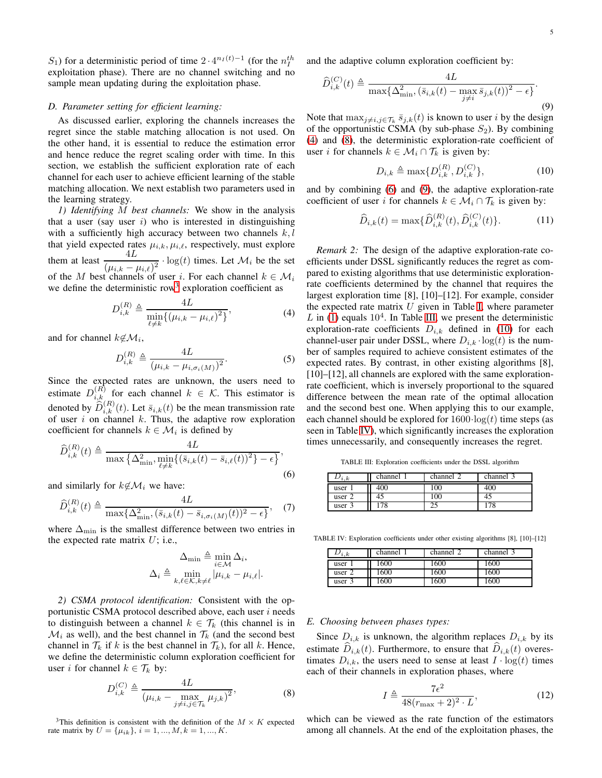S<sub>1</sub>) for a deterministic period of time  $2 \cdot 4^{n_I(t)-1}$  (for the  $n_I^{th}$ exploitation phase). There are no channel switching and no sample mean updating during the exploitation phase.

## <span id="page-4-0"></span>*D. Parameter setting for efficient learning:*

As discussed earlier, exploring the channels increases the regret since the stable matching allocation is not used. On the other hand, it is essential to reduce the estimation error and hence reduce the regret scaling order with time. In this section, we establish the sufficient exploration rate of each channel for each user to achieve efficient learning of the stable matching allocation. We next establish two parameters used in the learning strategy.

*1) Identifying* M *best channels:* We show in the analysis that a user (say user  $i$ ) who is interested in distinguishing with a sufficiently high accuracy between two channels  $k, l$ that yield expected rates  $\mu_{i,k}, \mu_{i,\ell}$ , respectively, must explore them at least  $\frac{4L}{(\mu_{i,k} - \mu_{i,\ell})^2} \cdot \log(t)$  times. Let  $\mathcal{M}_i$  be the set of the M best channels of user i. For each channel  $k \in \mathcal{M}_i$ we define the deterministic row<sup>[3](#page-4-2)</sup> exploration coefficient as

<span id="page-4-3"></span>
$$
D_{i,k}^{(R)} \triangleq \frac{4L}{\min_{\ell \neq k} \{ (\mu_{i,k} - \mu_{i,\ell})^2 \}},
$$
\n(4)

and for channel  $k \notin \mathcal{M}_i$ ,

$$
D_{i,k}^{(R)} \triangleq \frac{4L}{(\mu_{i,k} - \mu_{i,\sigma_i(M)})^2}.
$$
 (5)

Since the expected rates are unknown, the users need to estimate  $D_{i,k}^{(R)}$  for each channel  $k \in \mathcal{K}$ . This estimator is denoted by  $\widehat{D}_{i,k}^{(R)}(t)$ . Let  $\overline{s}_{i,k}(t)$  be the mean transmission rate of user  $i$  on channel  $k$ . Thus, the adaptive row exploration coefficient for channels  $k \in \mathcal{M}_i$  is defined by

<span id="page-4-5"></span>
$$
\widehat{D}_{i,k}^{(R)}(t) \triangleq \frac{4L}{\max\left\{\Delta_{\min}^2, \min_{\ell \neq k} \left\{ (\bar{s}_{i,k}(t) - \bar{s}_{i,\ell}(t))^2 \right\} - \epsilon \right\}},\tag{6}
$$

and similarly for  $k\notin\mathcal{M}_i$  we have:

$$
\widehat{D}_{i,k}^{(R)}(t) \triangleq \frac{4L}{\max\{\Delta_{\min}^2, (\bar{s}_{i,k}(t) - \bar{s}_{i,\sigma_i(M)}(t))^2 - \epsilon\}},\tag{7}
$$

where  $\Delta_{\min}$  is the smallest difference between two entries in the expected rate matrix  $U$ ; i.e.,

$$
\Delta_{\min} \triangleq \min_{i \in \mathcal{M}} \Delta_i,
$$
  

$$
\Delta_i \triangleq \min_{k, \ell \in \mathcal{K}, k \neq \ell} |\mu_{i,k} - \mu_{i,\ell}|.
$$

*2) CSMA protocol identification:* Consistent with the opportunistic CSMA protocol described above, each user  $i$  needs to distinguish between a channel  $k \in \mathcal{T}_k$  (this channel is in  $\mathcal{M}_i$  as well), and the best channel in  $\mathcal{T}_k$  (and the second best channel in  $\mathcal{T}_k$  if k is the best channel in  $\mathcal{T}_k$ ), for all k. Hence, we define the deterministic column exploration coefficient for user *i* for channel  $k \in \mathcal{T}_k$  by:

<span id="page-4-4"></span>
$$
D_{i,k}^{(C)} \triangleq \frac{4L}{\left(\mu_{i,k} - \max_{j \neq i, j \in \mathcal{T}_k} \mu_{j,k}\right)^2},\tag{8}
$$

<span id="page-4-2"></span><sup>3</sup>This definition is consistent with the definition of the  $M \times K$  expected rate matrix by  $U = {\mu_{ik}}, i = 1, ..., M, k = 1, ..., K$ .

and the adaptive column exploration coefficient by:

<span id="page-4-6"></span>
$$
\widehat{D}_{i,k}^{(C)}(t) \triangleq \frac{4L}{\max\{\Delta_{\min}^2, (\bar{s}_{i,k}(t) - \max_{j \neq i} \bar{s}_{j,k}(t))^2 - \epsilon\}}.
$$
\n(9)

Note that  $\max_{j \neq i, j \in \mathcal{T}_k} \bar{s}_{j,k}(t)$  is known to user i by the design of the opportunistic CSMA (by sub-phase  $S_2$ ). By combining [\(4\)](#page-4-3) and [\(8\)](#page-4-4), the deterministic exploration-rate coefficient of user *i* for channels  $k \in \mathcal{M}_i \cap \mathcal{T}_k$  is given by:

<span id="page-4-8"></span>
$$
D_{i,k} \triangleq \max\{D_{i,k}^{(R)}, D_{i,k}^{(C)}\},\tag{10}
$$

and by combining [\(6\)](#page-4-5) and [\(9\)](#page-4-6), the adaptive exploration-rate coefficient of user i for channels  $k \in \mathcal{M}_i \cap \mathcal{T}_k$  is given by:

$$
\widehat{D}_{i,k}(t) = \max{\{\widehat{D}_{i,k}^{(R)}(t), \widehat{D}_{i,k}^{(C)}(t)\}}.
$$
\n(11)

*Remark 2:* The design of the adaptive exploration-rate coefficients under DSSL significantly reduces the regret as compared to existing algorithms that use deterministic explorationrate coefficients determined by the channel that requires the largest exploration time [8], [10]–[12]. For example, consider the expected rate matrix  $U$  given in Table [I,](#page-3-1) where parameter  $L$  in [\(1\)](#page-2-4) equals  $10<sup>4</sup>$ . In Table [III,](#page-4-7) we present the deterministic exploration-rate coefficients  $D_{i,k}$  defined in [\(10\)](#page-4-8) for each channel-user pair under DSSL, where  $D_{i,k} \cdot \log(t)$  is the number of samples required to achieve consistent estimates of the expected rates. By contrast, in other existing algorithms [8], [10]–[12], all channels are explored with the same explorationrate coefficient, which is inversely proportional to the squared difference between the mean rate of the optimal allocation and the second best one. When applying this to our example, each channel should be explored for  $1600 \cdot \log(t)$  time steps (as seen in Table [IV\)](#page-4-9), which significantly increases the exploration times unnecessarily, and consequently increases the regret.

TABLE III: Exploration coefficients under the DSSL algorithm

<span id="page-4-7"></span>

| i.k  | channel | channel | channel 3 |
|------|---------|---------|-----------|
| user | 400     | 100     | 400       |
| user | 45      | 100     | 43        |
| user |         | ◠       |           |

<span id="page-4-9"></span>TABLE IV: Exploration coefficients under other existing algorithms [8], [10]–[12]

|        | channel | channel 2 | channel 3 |
|--------|---------|-----------|-----------|
| ı.к    |         |           |           |
| user   | 600     | 1600      | 1600      |
| user 2 | 600     | 1600      | 1600      |
| user 3 | 600     | .600      | 1600      |

## <span id="page-4-1"></span>*E. Choosing between phases types:*

Since  $D_{i,k}$  is unknown, the algorithm replaces  $D_{i,k}$  by its estimate  $D_{i,k}(t)$ . Furthermore, to ensure that  $D_{i,k}(t)$  overestimates  $D_{i,k}$ , the users need to sense at least  $I \cdot \log(t)$  times each of their channels in exploration phases, where

<span id="page-4-10"></span>
$$
I \triangleq \frac{7\epsilon^2}{48(r_{\text{max}} + 2)^2 \cdot L},\tag{12}
$$

which can be viewed as the rate function of the estimators among all channels. At the end of the exploitation phases, the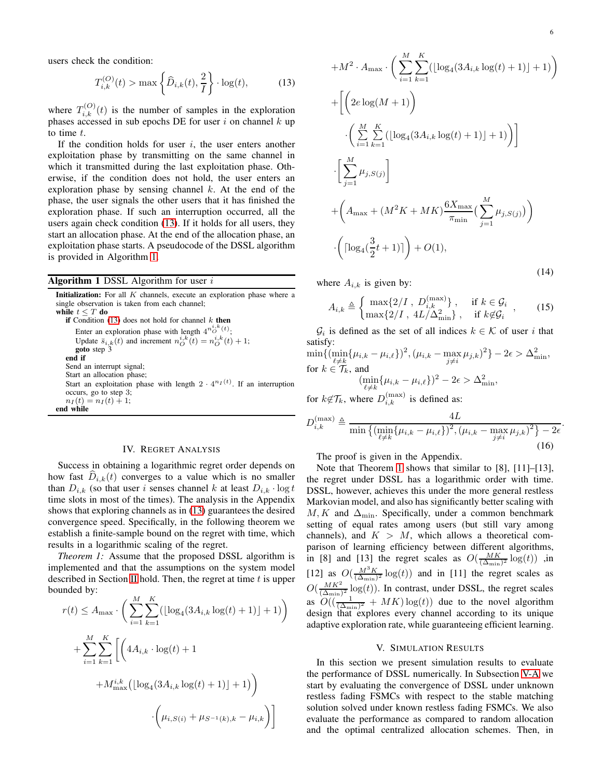users check the condition:

<span id="page-5-0"></span>
$$
T_{i,k}^{(O)}(t) > \max\left\{\widehat{D}_{i,k}(t), \frac{2}{I}\right\} \cdot \log(t),\tag{13}
$$

where  $T_{i,k}^{(O)}(t)$  is the number of samples in the exploration phases accessed in sub epochs DE for user i on channel  $k$  up to time  $t$ .

If the condition holds for user  $i$ , the user enters another exploitation phase by transmitting on the same channel in which it transmitted during the last exploitation phase. Otherwise, if the condition does not hold, the user enters an exploration phase by sensing channel  $k$ . At the end of the phase, the user signals the other users that it has finished the exploration phase. If such an interruption occurred, all the users again check condition [\(13\)](#page-5-0). If it holds for all users, they start an allocation phase. At the end of the allocation phase, an exploitation phase starts. A pseudocode of the DSSL algorithm is provided in Algorithm [1.](#page-5-1)

#### <span id="page-5-1"></span>**Algorithm 1 DSSL Algorithm for user i**

**Initialization:** For all  $K$  channels, execute an exploration phase where a single observation is taken from each channel; while  $t \leq T$  do if Condition  $(13)$  does not hold for channel  $k$  then Enter an exploration phase with length  $4^{n_O^{i,k}(t)}$ ; Update  $\bar{s}_{i,k}(t)$  and increment  $n_O^{i,k}(t) = n_O^{i,k}(t) + 1$ ; goto step 3 end if Send an interrupt signal; Start an allocation phase; Start an exploitation phase with length  $2 \cdot 4^{n_I(t)}$ . If an interruption occurs, go to step 3;  $n_I(t) = n_I(t) + 1;$ end while

# IV. REGRET ANALYSIS

Success in obtaining a logarithmic regret order depends on how fast  $D_{i,k}(t)$  converges to a value which is no smaller than  $D_{i,k}$  (so that user i senses channel k at least  $D_{i,k} \cdot \log t$ time slots in most of the times). The analysis in the Appendix shows that exploring channels as in [\(13\)](#page-5-0) guarantees the desired convergence speed. Specifically, in the following theorem we establish a finite-sample bound on the regret with time, which results in a logarithmic scaling of the regret.

<span id="page-5-2"></span>*Theorem 1:* Assume that the proposed DSSL algorithm is implemented and that the assumptions on the system model described in Section [II](#page-1-0) hold. Then, the regret at time  $t$  is upper bounded by:

$$
r(t) \le A_{\max} \cdot \left( \sum_{i=1}^{M} \sum_{k=1}^{K} (\lfloor \log_4(3A_{i,k} \log(t) + 1) \rfloor + 1) \right)
$$
  
+ 
$$
\sum_{i=1}^{M} \sum_{k=1}^{K} \left[ \left( 4A_{i,k} \cdot \log(t) + 1 + M_{\max}^{i,k} (\lfloor \log_4(3A_{i,k} \log(t) + 1) \rfloor + 1) \right) \right.
$$
  
- 
$$
\left( \mu_{i, S(i)} + \mu_{S^{-1}(k), k} - \mu_{i,k} \right)
$$

<span id="page-5-4"></span>.

<span id="page-5-5"></span>
$$
+M^{2} \cdot A_{\max} \cdot \left(\sum_{i=1}^{M} \sum_{k=1}^{K} (\lfloor \log_{4}(3A_{i,k} \log(t) + 1) \rfloor + 1)\right)
$$
  
+ 
$$
\left[\left(2e \log(M + 1)\right) \cdot \left(\sum_{i=1}^{M} \sum_{k=1}^{K} (\lfloor \log_{4}(3A_{i,k} \log(t) + 1) \rfloor + 1)\right)\right]
$$
  
- 
$$
\left[\sum_{j=1}^{M} \mu_{j,S(j)}\right]
$$
  
+ 
$$
\left(A_{\max} + (M^{2}K + MK)\frac{6X_{\max}}{\pi_{\min}}\left(\sum_{j=1}^{M} \mu_{j,S(j)}\right)\right)
$$
  
- 
$$
\left(\lceil \log_{4}(\frac{3}{2}t + 1)\rceil\right) + O(1),
$$
 (14)

where  $A_{i,k}$  is given by:

$$
A_{i,k} \triangleq \begin{cases} \max\{2/I \,,\, D_{i,k}^{\text{(max)}}\}, & \text{if } k \in \mathcal{G}_i \\ \max\{2/I \,,\, 4L/\Delta_{\min}^2\}, & \text{if } k \notin \mathcal{G}_i \end{cases} \tag{15}
$$

 $\mathcal{G}_i$  is defined as the set of all indices  $k \in \mathcal{K}$  of user i that satisfy:

$$
\min\{ (\min_{\ell \neq k} \{\mu_{i,k} - \mu_{i,\ell}\})^2, (\mu_{i,k} - \max_{j \neq i} \mu_{j,k})^2 \} - 2\epsilon > \Delta_{\min}^2,
$$
  
for  $k \in \mathcal{T}_k$ , and  

$$
(\min_{\ell \neq k} \{\mu_{i,k} - \mu_{i,\ell}\})^2 - 2\epsilon > \Delta_{\min}^2,
$$

for  $k \notin \mathcal{T}_k$ , where  $D_{i,k}^{(\text{max})}$  is defined as:

<span id="page-5-3"></span>
$$
D_{i,k}^{(\max)} \triangleq \frac{4L}{\min\left\{ (\min_{\ell \neq k} \{ \mu_{i,k} - \mu_{i,\ell} \})^2, (\mu_{i,k} - \max_{j \neq i} \mu_{j,k})^2 \right\} - 2\epsilon}
$$
(16)

The proof is given in the Appendix.

Note that Theorem [1](#page-5-2) shows that similar to [8], [11]–[13], the regret under DSSL has a logarithmic order with time. DSSL, however, achieves this under the more general restless Markovian model, and also has significantly better scaling with  $M, K$  and  $\Delta_{\text{min}}$ . Specifically, under a common benchmark setting of equal rates among users (but still vary among channels), and  $K > M$ , which allows a theoretical comparison of learning efficiency between different algorithms, in [8] and [13] the regret scales as  $O(\frac{MK}{(\Delta_{\min})^2} \log(t))$  , in [12] as  $O(\frac{M^3 K}{(\Delta_{\min})^2} \log(t))$  and in [11] the regret scales as  $O(\frac{MK^2}{(\Delta)}$  $\frac{MK^2}{(\Delta_{\min})^2} \log(t)$ ). In contrast, under DSSL, the regret scales as  $O((\frac{1}{(\Delta_{\min})^2} + MK)\log(t))$  due to the novel algorithm design that explores every channel according to its unique adaptive exploration rate, while guaranteeing efficient learning.

## V. SIMULATION RESULTS

In this section we present simulation results to evaluate the performance of DSSL numerically. In Subsection [V-A](#page-6-0) we start by evaluating the convergence of DSSL under unknown restless fading FSMCs with respect to the stable matching solution solved under known restless fading FSMCs. We also evaluate the performance as compared to random allocation and the optimal centralized allocation schemes. Then, in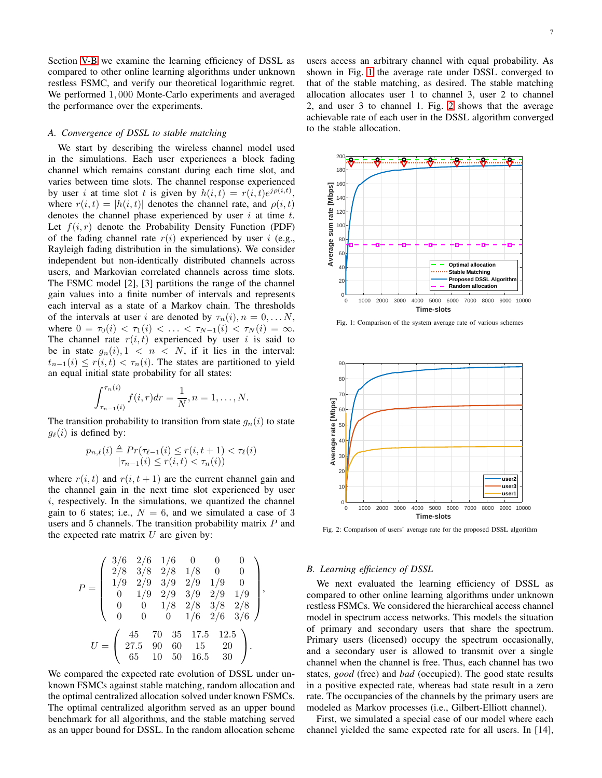Section [V-B](#page-6-1) we examine the learning efficiency of DSSL as compared to other online learning algorithms under unknown restless FSMC, and verify our theoretical logarithmic regret. We performed 1, 000 Monte-Carlo experiments and averaged the performance over the experiments.

### <span id="page-6-0"></span>*A. Convergence of DSSL to stable matching*

We start by describing the wireless channel model used in the simulations. Each user experiences a block fading channel which remains constant during each time slot, and varies between time slots. The channel response experienced by user i at time slot t is given by  $h(i,t) = r(i,t)e^{j\rho(i,t)}$ , where  $r(i, t) = |h(i, t)|$  denotes the channel rate, and  $\rho(i, t)$ denotes the channel phase experienced by user  $i$  at time  $t$ . Let  $f(i, r)$  denote the Probability Density Function (PDF) of the fading channel rate  $r(i)$  experienced by user i (e.g., Rayleigh fading distribution in the simulations). We consider independent but non-identically distributed channels across users, and Markovian correlated channels across time slots. The FSMC model [2], [3] partitions the range of the channel gain values into a finite number of intervals and represents each interval as a state of a Markov chain. The thresholds of the intervals at user i are denoted by  $\tau_n(i)$ ,  $n = 0, \ldots N$ , where  $0 = \tau_0(i) < \tau_1(i) < \ldots < \tau_{N-1}(i) < \tau_N(i) = \infty$ . The channel rate  $r(i, t)$  experienced by user i is said to be in state  $g_n(i)$ ,  $1 \leq n \leq N$ , if it lies in the interval:  $t_{n-1}(i) \leq r(i, t) < \tau_n(i)$ . The states are partitioned to yield an equal initial state probability for all states:

$$
\int_{\tau_{n-1}(i)}^{\tau_n(i)} f(i,r) dr = \frac{1}{N}, n = 1, \dots, N.
$$

The transition probability to transition from state  $g_n(i)$  to state  $g_{\ell}(i)$  is defined by:

$$
p_{n,\ell}(i) \stackrel{\Delta}{=} \Pr(\tau_{\ell-1}(i) \le r(i, t+1) < \tau_{\ell}(i) \\ |\tau_{n-1}(i) \le r(i, t) < \tau_n(i))
$$

where  $r(i, t)$  and  $r(i, t + 1)$  are the current channel gain and the channel gain in the next time slot experienced by user  $i$ , respectively. In the simulations, we quantized the channel gain to 6 states; i.e.,  $N = 6$ , and we simulated a case of 3 users and  $5$  channels. The transition probability matrix  $P$  and the expected rate matrix  $U$  are given by:

$$
P = \begin{pmatrix} 3/6 & 2/6 & 1/6 & 0 & 0 & 0 \\ 2/8 & 3/8 & 2/8 & 1/8 & 0 & 0 \\ 1/9 & 2/9 & 3/9 & 2/9 & 1/9 & 0 \\ 0 & 1/9 & 2/9 & 3/9 & 2/9 & 1/9 \\ 0 & 0 & 1/8 & 2/8 & 3/8 & 2/8 \\ 0 & 0 & 0 & 1/6 & 2/6 & 3/6 \end{pmatrix},
$$

$$
U = \begin{pmatrix} 45 & 70 & 35 & 17.5 & 12.5 \\ 27.5 & 90 & 60 & 15 & 20 \\ 65 & 10 & 50 & 16.5 & 30 \end{pmatrix}.
$$

We compared the expected rate evolution of DSSL under unknown FSMCs against stable matching, random allocation and the optimal centralized allocation solved under known FSMCs. The optimal centralized algorithm served as an upper bound benchmark for all algorithms, and the stable matching served as an upper bound for DSSL. In the random allocation scheme 7

users access an arbitrary channel with equal probability. As shown in Fig. [1](#page-6-2) the average rate under DSSL converged to that of the stable matching, as desired. The stable matching allocation allocates user 1 to channel 3, user 2 to channel 2, and user 3 to channel 1. Fig. [2](#page-6-3) shows that the average achievable rate of each user in the DSSL algorithm converged to the stable allocation.

<span id="page-6-2"></span>

Fig. 1: Comparison of the system average rate of various schemes

<span id="page-6-3"></span>

Fig. 2: Comparison of users' average rate for the proposed DSSL algorithm

#### <span id="page-6-1"></span>*B. Learning efficiency of DSSL*

We next evaluated the learning efficiency of DSSL as compared to other online learning algorithms under unknown restless FSMCs. We considered the hierarchical access channel model in spectrum access networks. This models the situation of primary and secondary users that share the spectrum. Primary users (licensed) occupy the spectrum occasionally, and a secondary user is allowed to transmit over a single channel when the channel is free. Thus, each channel has two states, *good* (free) and *bad* (occupied). The good state results in a positive expected rate, whereas bad state result in a zero rate. The occupancies of the channels by the primary users are modeled as Markov processes (i.e., Gilbert-Elliott channel).

First, we simulated a special case of our model where each channel yielded the same expected rate for all users. In [14],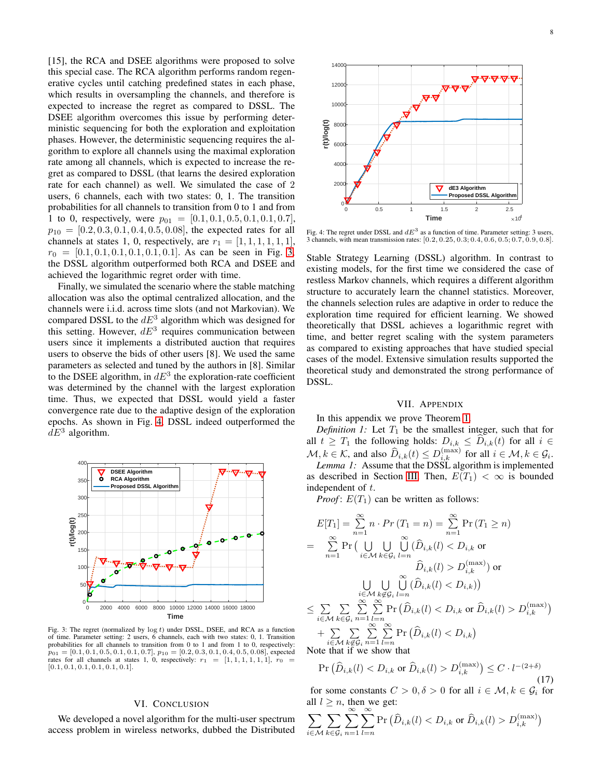[15], the RCA and DSEE algorithms were proposed to solve this special case. The RCA algorithm performs random regenerative cycles until catching predefined states in each phase, which results in oversampling the channels, and therefore is expected to increase the regret as compared to DSSL. The DSEE algorithm overcomes this issue by performing deterministic sequencing for both the exploration and exploitation phases. However, the deterministic sequencing requires the algorithm to explore all channels using the maximal exploration rate among all channels, which is expected to increase the regret as compared to DSSL (that learns the desired exploration rate for each channel) as well. We simulated the case of 2 users, 6 channels, each with two states: 0, 1. The transition probabilities for all channels to transition from 0 to 1 and from 1 to 0, respectively, were  $p_{01} = [0.1, 0.1, 0.5, 0.1, 0.1, 0.7]$ ,  $p_{10} = [0.2, 0.3, 0.1, 0.4, 0.5, 0.08]$ , the expected rates for all channels at states 1, 0, respectively, are  $r_1 = \begin{bmatrix} 1, 1, 1, 1, 1, 1 \end{bmatrix}$  $r_0 = [0.1, 0.1, 0.1, 0.1, 0.1, 0.1]$ . As can be seen in Fig. [3,](#page-7-0) the DSSL algorithm outperformed both RCA and DSEE and achieved the logarithmic regret order with time.

Finally, we simulated the scenario where the stable matching allocation was also the optimal centralized allocation, and the channels were i.i.d. across time slots (and not Markovian). We compared DSSL to the  $dE<sup>3</sup>$  algorithm which was designed for this setting. However,  $dE^3$  requires communication between users since it implements a distributed auction that requires users to observe the bids of other users [8]. We used the same parameters as selected and tuned by the authors in [8]. Similar to the DSEE algorithm, in  $dE^3$  the exploration-rate coefficient was determined by the channel with the largest exploration time. Thus, we expected that DSSL would yield a faster convergence rate due to the adaptive design of the exploration epochs. As shown in Fig. [4,](#page-7-1) DSSL indeed outperformed the  $dE^3$  algorithm.

<span id="page-7-0"></span>

Fig. 3: The regret (normalized by  $log t$ ) under DSSL, DSEE, and RCA as a function of time. Parameter setting: 2 users, 6 channels, each with two states: 0, 1. Transition probabilities for all channels to transition from 0 to 1 and from 1 to 0, respectively:  $p_{01} = [0.1, 0.1, 0.5, 0.1, 0.1, 0.7], p_{10} = [0.2, 0.3, 0.1, 0.4, 0.5, 0.08],$  expected rates for all channels at states 1, 0, respectively:  $r_1 = [1, 1, 1, 1, 1, 1], r_0 =$  $[0.1, 0.1, 0.1, 0.1, 0.1, 0.1]$ .

## VI. CONCLUSION

We developed a novel algorithm for the multi-user spectrum access problem in wireless networks, dubbed the Distributed

<span id="page-7-1"></span>

Fig. 4: The regret under DSSL and  $dE<sup>3</sup>$  as a function of time. Parameter setting: 3 users, 3 channels, with mean transmission rates: [0.2, 0.25, 0.3; 0.4, 0.6, 0.5; 0.7, 0.9, 0.8].

Stable Strategy Learning (DSSL) algorithm. In contrast to existing models, for the first time we considered the case of restless Markov channels, which requires a different algorithm structure to accurately learn the channel statistics. Moreover, the channels selection rules are adaptive in order to reduce the exploration time required for efficient learning. We showed theoretically that DSSL achieves a logarithmic regret with time, and better regret scaling with the system parameters as compared to existing approaches that have studied special cases of the model. Extensive simulation results supported the theoretical study and demonstrated the strong performance of DSSL.

## VII. APPENDIX

### In this appendix we prove Theorem [1.](#page-5-2)

*Definition 1:* Let  $T_1$  be the smallest integer, such that for all  $t \geq T_1$  the following holds:  $D_{i,k} \leq D_{i,k}(t)$  for all  $i \in$  $\mathcal{M}, k \in \mathcal{K}$ , and also  $\widehat{D}_{i,k}(t) \leq D_{i,k}^{(\max)}$  for all  $i \in \mathcal{M}, k \in \mathcal{G}_i$ .

<span id="page-7-3"></span>*Lemma 1:* Assume that the DSSL algorithm is implemented as described in Section [III.](#page-2-0) Then,  $E(T_1) < \infty$  is bounded independent of t.

*Proof*:  $E(T_1)$  can be written as follows:

$$
E[T_1] = \sum_{n=1}^{\infty} n \cdot Pr(T_1 = n) = \sum_{n=1}^{\infty} \Pr(T_1 \ge n)
$$
  
\n
$$
= \sum_{n=1}^{\infty} \Pr\left(\bigcup_{i \in \mathcal{M}} \bigcup_{k \in \mathcal{G}_i} \bigcup_{l=n}^{\infty} (\widehat{D}_{i,k}(l) < D_{i,k} \text{ or } \widehat{D}_{i,k}(l) > D_{i,k}^{(\max)}) \text{ or }
$$
  
\n
$$
\bigcup_{i \in \mathcal{M}} \bigcup_{k \in \mathcal{G}_i} \bigcup_{l=n}^{\infty} (\widehat{D}_{i,k}(l) < D_{i,k}) \text{ or }
$$
  
\n
$$
\leq \sum_{i \in \mathcal{M}} \sum_{k \in \mathcal{G}_i} \sum_{n=1}^{\infty} \sum_{l=n}^{\infty} \Pr(\widehat{D}_{i,k}(l) < D_{i,k} \text{ or } \widehat{D}_{i,k}(l) > D_{i,k}^{(\max)})
$$
  
\n
$$
+ \sum_{i \in \mathcal{M}} \sum_{k \in \mathcal{G}_i} \sum_{n=1}^{\infty} \sum_{l=n}^{\infty} \Pr(\widehat{D}_{i,k}(l) < D_{i,k})
$$
  
\nNote that if we show that

Note that if we

<span id="page-7-2"></span>
$$
\Pr\left(\widehat{D}_{i,k}(l) < D_{i,k} \text{ or } \widehat{D}_{i,k}(l) > D_{i,k}^{(\max)}\right) \le C \cdot l^{-(2+\delta)}\tag{17}
$$

for some constants  $C > 0, \delta > 0$  for all  $i \in \mathcal{M}, k \in \mathcal{G}_i$  for all  $l \geq n$ , then we get:

$$
\sum_{i \in \mathcal{M}} \sum_{k \in \mathcal{G}_i} \sum_{n=1}^{\infty} \sum_{l=n}^{\infty} \Pr\left(\widehat{D}_{i,k}(l) < D_{i,k} \text{ or } \widehat{D}_{i,k}(l) > D_{i,k}^{(\max)}\right)
$$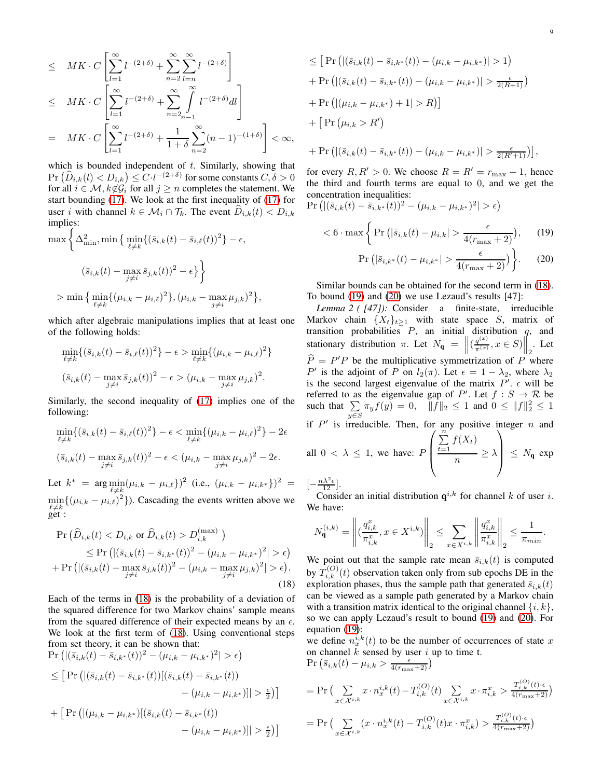$$
\leq MK \cdot C \left[ \sum_{l=1}^{\infty} l^{-(2+\delta)} + \sum_{n=2}^{\infty} \sum_{l=n}^{\infty} l^{-(2+\delta)} \right]
$$
  
\n
$$
\leq MK \cdot C \left[ \sum_{l=1}^{\infty} l^{-(2+\delta)} + \sum_{n=2}^{\infty} \int_{n-1}^{\infty} l^{-(2+\delta)} dl \right]
$$
  
\n
$$
= MK \cdot C \left[ \sum_{l=1}^{\infty} l^{-(2+\delta)} + \frac{1}{1+\delta} \sum_{n=2}^{\infty} (n-1)^{-(1+\delta)} \right] < \infty,
$$

which is bounded independent of  $t$ . Similarly, showing that  $\Pr\left(\widehat{D}_{i,k}(l) < D_{i,k}\right) \leq C \cdot l^{-(2+\delta)}$  for some constants  $C, \delta > 0$ for all  $i \in \mathcal{M}$ ,  $k \notin \mathcal{G}_i$  for all  $j \geq n$  completes the statement. We start bounding [\(17\)](#page-7-2). We look at the first inequality of [\(17\)](#page-7-2) for user i with channel  $k \in \mathcal{M}_i \cap \mathcal{T}_k$ . The event  $D_{i,k}(t) < D_{i,k}$ implies:

$$
\max \left\{ \Delta_{\min}^2, \min \left\{ \min_{\ell \neq k} \{ (\bar{s}_{i,k}(t) - \bar{s}_{i,\ell}(t))^2 \} - \epsilon, \right. \right.\left. (\bar{s}_{i,k}(t) - \max_{j \neq i} \bar{s}_{j,k}(t))^2 - \epsilon \right\} \right\} > \min \left\{ \min_{\ell \neq k} \{ (\mu_{i,k} - \mu_{i,\ell})^2 \}, (\mu_{i,k} - \max_{j \neq i} \mu_{j,k})^2 \right\},
$$

which after algebraic manipulations implies that at least one of the following holds:

$$
\min_{\ell \neq k} \{ (\bar{s}_{i,k}(t) - \bar{s}_{i,\ell}(t))^2 \} - \epsilon > \min_{\ell \neq k} \{ (\mu_{i,k} - \mu_{i,\ell})^2 \}
$$
  

$$
(\bar{s}_{i,k}(t) - \max_{j \neq i} \bar{s}_{j,k}(t))^2 - \epsilon > (\mu_{i,k} - \max_{j \neq i} \mu_{j,k})^2.
$$

Similarly, the second inequality of [\(17\)](#page-7-2) implies one of the following:

$$
\min_{\ell \neq k} \{ (\bar{s}_{i,k}(t) - \bar{s}_{i,\ell}(t))^2 \} - \epsilon < \min_{\ell \neq k} \{ (\mu_{i,k} - \mu_{i,\ell})^2 \} - 2\epsilon
$$
\n
$$
(\bar{s}_{i,k}(t) - \max_{j \neq i} \bar{s}_{j,k}(t))^2 - \epsilon < (\mu_{i,k} - \max_{j \neq i} \mu_{j,k})^2 - 2\epsilon.
$$

Let  $k^*$  =  $\arg \min_{\ell \neq k} (\mu_{i,k} - \mu_{i,\ell})^2$  (i.e.,  $(\mu_{i,k} - \mu_{i,k^*})^2$  =  $\min_{\ell \neq k} \{(\mu_{i,k} - \mu_{i,\ell})^2\}$ ). Cascading the events written above we get :

$$
\Pr\left(\widehat{D}_{i,k}(t) < D_{i,k} \text{ or } \widehat{D}_{i,k}(t) > D_{i,k}^{(\max)}\right) \\
\leq \Pr\left(|(\bar{s}_{i,k}(t) - \bar{s}_{i,k^*}(t))^2 - (\mu_{i,k} - \mu_{i,k^*})^2| > \epsilon\right) \\
+ \Pr\left(|(\bar{s}_{i,k}(t) - \max_{j \neq i} \bar{s}_{j,k}(t))^2 - (\mu_{i,k} - \max_{j \neq i} \mu_{j,k})^2| > \epsilon\right). \tag{18}
$$

Each of the terms in [\(18\)](#page-8-0) is the probability of a deviation of the squared difference for two Markov chains' sample means from the squared difference of their expected means by an  $\epsilon$ . We look at the first term of [\(18\)](#page-8-0). Using conventional steps from set theory, it can be shown that:

$$
\Pr\left(|(\bar{s}_{i,k}(t) - \bar{s}_{i,k^*}(t))^2 - (\mu_{i,k} - \mu_{i,k^*})^2| > \epsilon\right)
$$
\n
$$
\leq \left[\Pr\left(|(\bar{s}_{i,k}(t) - \bar{s}_{i,k^*}(t))|(\bar{s}_{i,k}(t) - \bar{s}_{i,k^*}(t)) - (\mu_{i,k} - \mu_{i,k^*})|\right] > \frac{\epsilon}{2}\right]
$$
\n
$$
+ \left[\Pr\left(|(\mu_{i,k} - \mu_{i,k^*})|(\bar{s}_{i,k}(t) - \bar{s}_{i,k^*}(t)) - (\mu_{i,k} - \mu_{i,k^*})|\right] > \frac{\epsilon}{2}\right]
$$

$$
\leq \left[ \Pr \left( | (\bar{s}_{i,k}(t) - \bar{s}_{i,k^*}(t)) - (\mu_{i,k} - \mu_{i,k^*}) | > 1 \right) \right. \n+ \Pr \left( | (\bar{s}_{i,k}(t) - \bar{s}_{i,k^*}(t)) - (\mu_{i,k} - \mu_{i,k^*}) | > \frac{\epsilon}{2(R+1)} \right) \n+ \Pr \left( | (\mu_{i,k} - \mu_{i,k^*}) + 1 | > R \right) \right] \n+ \left[ \Pr \left( \mu_{i,k} > R' \right) \n+ \Pr \left( | (\bar{s}_{i,k}(t) - \bar{s}_{i,k^*}(t)) - (\mu_{i,k} - \mu_{i,k^*}) | > \frac{\epsilon}{2(R'+1)} \right) \right].
$$

for every  $R, R' > 0$ . We choose  $R = R' = r_{\text{max}} + 1$ , hence the third and fourth terms are equal to 0, and we get the concentration inequalities:

$$
\Pr\left(|(\bar{s}_{i,k}(t) - \bar{s}_{i,k^*}(t))^2 - (\mu_{i,k} - \mu_{i,k^*})^2| > \epsilon\right)
$$

$$
\langle 6 \cdot \max\left\{ \Pr\left( |\bar{s}_{i,k}(t) - \mu_{i,k}| > \frac{\epsilon}{4(r_{\max} + 2)} \right), \quad (19) \right\}
$$

<span id="page-8-2"></span><span id="page-8-1"></span>
$$
\Pr\left(|\bar{s}_{i,k^*}(t) - \mu_{i,k^*}| > \frac{\epsilon}{4(r_{\text{max}} + 2)}\right)\bigg\}.\tag{20}
$$

Similar bounds can be obtained for the second term in [\(18\)](#page-8-0). To bound [\(19\)](#page-8-1) and [\(20\)](#page-8-2) we use Lezaud's results [47]:

*Lemma 2 ( [47]):* Consider a finite-state, irreducible Markov chain  $\{X_t\}_{t\geq 1}$  with state space S, matrix of transition probabilities  $P$ , an initial distribution  $q$ , and stationary distribution  $\pi$ . Let  $N_{\mathbf{q}} = ||(q_{\pi(x)}^{(x)})||$  $\frac{q^{(x)}}{\pi^{(x)}}, x \in S$ ) $\Big\|_2^2$ . Let  $\hat{P} = P'P$  be the multiplicative symmetrization of P where P' is the adjoint of P on  $l_2(\pi)$ . Let  $\epsilon = 1 - \lambda_2$ , where  $\lambda_2$ is the second largest eigenvalue of the matrix  $P'$ .  $\epsilon$  will be referred to as the eigenvalue gap of P'. Let  $f : S \to \mathcal{R}$  be such that  $\Sigma$  $\sum_{y \in S} \pi_y f(y) = 0, \quad ||f||_2 \le 1 \text{ and } 0 \le ||f||_2^2 \le 1$ if  $P'$  is irreducible. Then, for any positive integer  $n$  and all  $0 < \lambda \leq 1$ , we have: F  $\sqrt{ }$  $\overline{\phantom{a}}$  $\sum_{n=1}^{\infty}$  $\sum_{t=1} f(X_t)$  $\frac{}{n}$   $\geq \lambda$  $\setminus$  $\Big| \leq N_{\mathbf{q}} \exp$ 

$$
\left[-\frac{n\lambda^2\epsilon}{12}\right].
$$

Consider an initial distribution  $q^{i,k}$  for channel k of user i. We have:

$$
N_{\mathbf{q}}^{(i,k)} = \left\| \left(\frac{q_{i,k}^x}{\pi_{i,k}^x}, x \in X^{i,k} \right) \right\|_2 \le \sum_{x \in X^{i,k}} \left\| \frac{q_{i,k}^x}{\pi_{i,k}^x} \right\|_2 \le \frac{1}{\pi_{min}}.
$$

<span id="page-8-0"></span>We point out that the sample rate mean  $\bar{s}_{i,k}(t)$  is computed by  $T_{i,k}^{(O)}(t)$  observation taken only from sub epochs DE in the exploration phases, thus the sample path that generated  $\bar{s}_{i,k}(t)$ can be viewed as a sample path generated by a Markov chain with a transition matrix identical to the original channel  $\{i, k\}$ , so we can apply Lezaud's result to bound [\(19\)](#page-8-1) and [\(20\)](#page-8-2). For equation [\(19\)](#page-8-1):

we define  $n_x^{i,k}(t)$  to be the number of occurrences of state x on channel  $k$  sensed by user  $i$  up to time t.

$$
\Pr\left(\bar{s}_{i,k}(t) - \mu_{i,k} > \frac{\epsilon}{4(r_{\max}+2)}\right)
$$
\n
$$
= \Pr\left(\sum_{x \in \mathcal{X}^{i,k}} x \cdot n_x^{i,k}(t) - T_{i,k}^{(O)}(t) \sum_{x \in \mathcal{X}^{i,k}} x \cdot \pi_{i,k}^x > \frac{T_{i,k}^{(O)}(t) \cdot \epsilon}{4(r_{\max}+2)}\right)
$$
\n
$$
= \Pr\left(\sum_{x \in \mathcal{X}^{i,k}} (x \cdot n_x^{i,k}(t) - T_{i,k}^{(O)}(t)x \cdot \pi_{i,k}^x) > \frac{T_{i,k}^{(O)}(t) \cdot \epsilon}{4(r_{\max}+2)}\right)
$$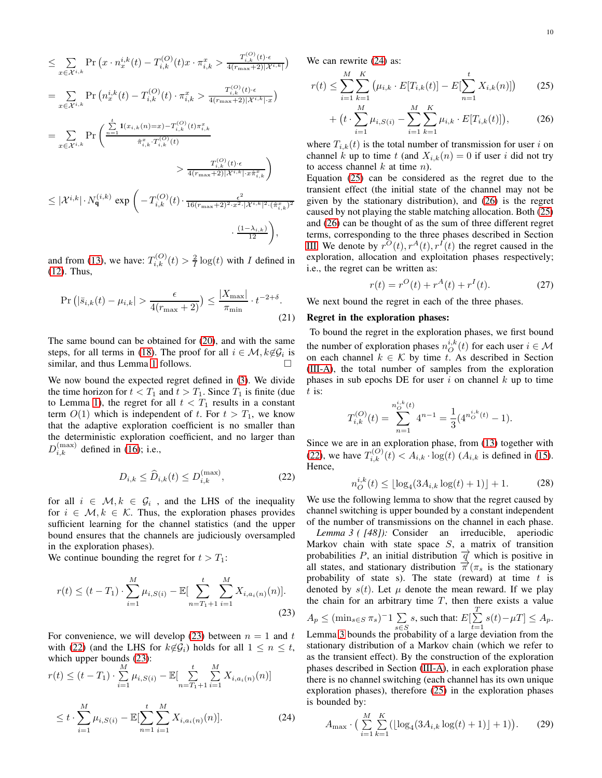$$
\leq \sum_{x \in \mathcal{X}^{i,k}} \Pr\left(x \cdot n_x^{i,k}(t) - T_{i,k}^{(O)}(t)x \cdot \pi_{i,k}^x > \frac{T_{i,k}^{(O)}(t) \cdot \epsilon}{4(r_{\max}+2)|\mathcal{X}^{i,k}|}\right)
$$
\n
$$
= \sum_{x \in \mathcal{X}^{i,k}} \Pr\left(n_x^{i,k}(t) - T_{i,k}^{(O)}(t) \cdot \pi_{i,k}^x > \frac{T_{i,k}^{(O)}(t) \cdot \epsilon}{4(r_{\max}+2)|\mathcal{X}^{i,k}| \cdot x}\right)
$$
\n
$$
= \sum_{x \in \mathcal{X}^{i,k}} \Pr\left(\frac{\sum_{n=1}^t 1(x_{i,k}(n)=x) - T_{i,k}^{(O)}(t)\pi_{i,k}^x}{\hat{\pi}_{i,k}^x \cdot T_{i,k}^{(O)}(t)}\right)
$$
\n
$$
> \frac{T_{i,k}^{(O)}(t) \cdot \epsilon}{4(r_{\max}+2)|\mathcal{X}^{i,k}| \cdot x\hat{\pi}_{i,k}^x}
$$
\n
$$
\leq |\mathcal{X}^{i,k}| \cdot N_{\mathbf{q}}^{(i,k)} \exp\left(-T_{i,k}^{(O)}(t) \cdot \frac{\epsilon^2}{16(r_{\max}+2)^2 \cdot x^2 \cdot |\mathcal{X}^{i,k}|^2 \cdot (\hat{\pi}_{i,k}^x)^2}\right)
$$
\n
$$
\cdot \frac{(1-\lambda_{i,k})}{12},
$$

and from [\(13\)](#page-5-0), we have:  $T_{i,k}^{(O)}(t) > \frac{2}{I} \log(t)$  with I defined in [\(12\)](#page-4-10). Thus,

$$
\Pr\left(|\bar{s}_{i,k}(t) - \mu_{i,k}| > \frac{\epsilon}{4(r_{\text{max}} + 2)}\right) \le \frac{|X_{\text{max}}|}{\pi_{\text{min}}} \cdot t^{-2+\delta}.\tag{21}
$$

The same bound can be obtained for [\(20\)](#page-8-2), and with the same steps, for all terms in [\(18\)](#page-8-0). The proof for all  $i \in \mathcal{M}, k \notin \mathcal{G}_i$  is similar, and thus Lemma [1](#page-7-3) follows.

We now bound the expected regret defined in [\(3\)](#page-2-5). We divide the time horizon for  $t < T_1$  and  $t > T_1$ . Since  $T_1$  is finite (due to Lemma [1\)](#page-7-3), the regret for all  $t < T_1$  results in a constant term  $O(1)$  which is independent of t. For  $t > T_1$ , we know that the adaptive exploration coefficient is no smaller than the deterministic exploration coefficient, and no larger than  $D_{i,k}^{(\text{max})}$  defined in [\(16\)](#page-5-3); i.e.,

<span id="page-9-1"></span>
$$
D_{i,k} \le \widehat{D}_{i,k}(t) \le D_{i,k}^{(\text{max})},\tag{22}
$$

for all  $i \in \mathcal{M}, k \in \mathcal{G}_i$ , and the LHS of the inequality for  $i \in \mathcal{M}, k \in \mathcal{K}$ . Thus, the exploration phases provides sufficient learning for the channel statistics (and the upper bound ensures that the channels are judiciously oversampled in the exploration phases).

We continue bounding the regret for  $t > T_1$ :

$$
r(t) \le (t - T_1) \cdot \sum_{i=1}^{M} \mu_{i,S(i)} - \mathbb{E}[\sum_{n=T_1+1}^{t} \sum_{i=1}^{M} X_{i,a_i(n)}(n)].
$$
\n(23)

For convenience, we will develop [\(23\)](#page-9-0) between  $n = 1$  and t with [\(22\)](#page-9-1) (and the LHS for  $k\notin \mathcal{G}_i$ ) holds for all  $1 \leq n \leq t$ , which upper bounds [\(23\)](#page-9-0):

$$
r(t) \le (t - T_1) \cdot \sum_{i=1}^{M} \mu_{i,S(i)} - \mathbb{E}[\sum_{n=T_1+1}^{t} \sum_{i=1}^{M} X_{i,a_i(n)}(n)]
$$
  

$$
\le t \cdot \sum_{i=1}^{M} \mu_{i,S(i)} - \mathbb{E}[\sum_{n=1}^{t} \sum_{i=1}^{M} X_{i,a_i(n)}(n)].
$$
 (24)

We can rewrite  $(24)$  as:

$$
r(t) \le \sum_{i=1}^{M} \sum_{k=1}^{K} \left( \mu_{i,k} \cdot E[T_{i,k}(t)] - E[\sum_{n=1}^{t} X_{i,k}(n)] \right) \tag{25}
$$

<span id="page-9-4"></span><span id="page-9-3"></span>+ 
$$
(t \cdot \sum_{i=1}^{M} \mu_{i,S(i)} - \sum_{i=1}^{M} \sum_{k=1}^{K} \mu_{i,k} \cdot E[T_{i,k}(t)]
$$
, (26)

where  $T_{i,k}(t)$  is the total number of transmission for user i on channel k up to time t (and  $X_{i,k}(n) = 0$  if user i did not try to access channel  $k$  at time  $n$ ).

Equation [\(25\)](#page-9-3) can be considered as the regret due to the transient effect (the initial state of the channel may not be given by the stationary distribution), and [\(26\)](#page-9-4) is the regret caused by not playing the stable matching allocation. Both [\(25\)](#page-9-3) and [\(26\)](#page-9-4) can be thought of as the sum of three different regret terms, corresponding to the three phases described in Section [III.](#page-2-0) We denote by  $r^{O}(t)$ ,  $r^{A}(t)$ ,  $r^{I}(t)$  the regret caused in the exploration, allocation and exploitation phases respectively; i.e., the regret can be written as:

<span id="page-9-8"></span>
$$
r(t) = r^{O}(t) + r^{A}(t) + r^{I}(t).
$$
 (27)

We next bound the regret in each of the three phases.

## Regret in the exploration phases:

To bound the regret in the exploration phases, we first bound the number of exploration phases  $n_O^{i,k}(t)$  for each user  $i \in \mathcal{M}$ on each channel  $k \in \mathcal{K}$  by time t. As described in Section [\(III-A\)](#page-3-3), the total number of samples from the exploration phases in sub epochs DE for user  $i$  on channel  $k$  up to time  $t$  is:

$$
T_{i,k}^{(O)}(t) = \sum_{n=1}^{n_O^{i,k}(t)} 4^{n-1} = \frac{1}{3} (4^{n_O^{i,k}(t)} - 1).
$$

Since we are in an exploration phase, from [\(13\)](#page-5-0) together with [\(22\)](#page-9-1), we have  $T_{i,k}^{(O)}(t) < A_{i,k} \cdot \log(t)$  ( $A_{i,k}$  is defined in [\(15\)](#page-5-4). Hence,

<span id="page-9-6"></span><span id="page-9-5"></span>
$$
n_O^{i,k}(t) \le \lfloor \log_4(3A_{i,k} \log(t) + 1) \rfloor + 1. \tag{28}
$$

We use the following lemma to show that the regret caused by channel switching is upper bounded by a constant independent of the number of transmissions on the channel in each phase.

<span id="page-9-0"></span>*Lemma 3 ( [48]):* Consider an irreducible, aperiodic Markov chain with state space  $S$ , a matrix of transition probabilities P, an initial distribution  $\vec{q}$  which is positive in all states, and stationary distribution  $\vec{\pi}$  ( $\pi_s$  is the stationary probability of state s). The state (reward) at time  $t$  is denoted by  $s(t)$ . Let  $\mu$  denote the mean reward. If we play the chain for an arbitrary time  $T$ , then there exists a value  $A_p \leq (\min_{s \in S} \pi_s)^{-1} \sum$ s∈S s, such that:  $E[\sum_{n=1}^{T}$  $\sum_{t=1} s(t) - \mu T \leq A_p.$ Lemma [3](#page-9-5) bounds the probability of a large deviation from the stationary distribution of a Markov chain (which we refer to as the transient effect). By the construction of the exploration phases described in Section [\(III-A\)](#page-3-3), in each exploration phase there is no channel switching (each channel has its own unique exploration phases), therefore [\(25\)](#page-9-3) in the exploration phases is bounded by:

<span id="page-9-7"></span><span id="page-9-2"></span>
$$
A_{\max} \cdot \Big( \sum_{i=1}^{M} \sum_{k=1}^{K} \big( \lfloor \log_4(3A_{i,k} \log(t) + 1) \rfloor + 1 \big) \Big). \tag{29}
$$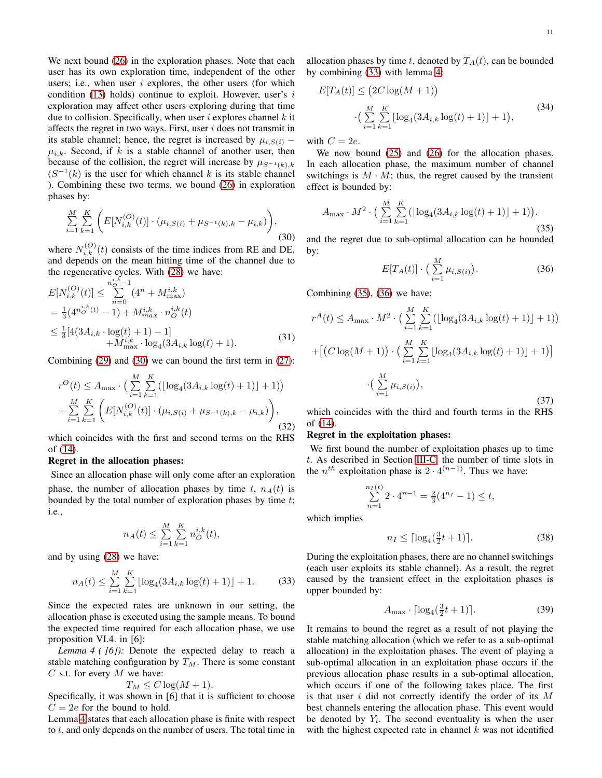We next bound  $(26)$  in the exploration phases. Note that each user has its own exploration time, independent of the other users; i.e., when user  $i$  explores, the other users (for which condition [\(13\)](#page-5-0) holds) continue to exploit. However, user's  $i$ exploration may affect other users exploring during that time due to collision. Specifically, when user  $i$  explores channel  $k$  it affects the regret in two ways. First, user  $i$  does not transmit in its stable channel; hence, the regret is increased by  $\mu_{i,S(i)}$  –  $\mu_{i,k}$ . Second, if k is a stable channel of another user, then because of the collision, the regret will increase by  $\mu_{S^{-1}(k),k}$  $(S^{-1}(k)$  is the user for which channel k is its stable channel ). Combining these two terms, we bound [\(26\)](#page-9-4) in exploration phases by:

<span id="page-10-0"></span>
$$
\sum_{i=1}^{M} \sum_{k=1}^{K} \left( E[N_{i,k}^{(O)}(t)] \cdot (\mu_{i,S(i)} + \mu_{S^{-1}(k),k} - \mu_{i,k}) \right),\tag{30}
$$

where  $N_{i,k}^{(O)}(t)$  consists of the time indices from RE and DE, and depends on the mean hitting time of the channel due to the regenerative cycles. With [\(28\)](#page-9-6) we have:  $_{i,k}$ 

$$
E[N_{i,k}^{(O)}(t)] \leq \sum_{n=0}^{n_O^{i,k}-1} (4^n + M_{\text{max}}^{i,k})
$$
  
=  $\frac{1}{3} (4^{n_O^{i,k}(t)} - 1) + M_{\text{max}}^{i,k} \cdot n_O^{i,k}(t)$   
 $\leq \frac{1}{3} [4(3A_{i,k} \cdot \log(t) + 1) - 1]$   
+  $M_{\text{max}}^{i,k} \cdot \log_4(3A_{i,k} \log(t) + 1).$  (31)

Combining [\(29\)](#page-9-7) and [\(30\)](#page-10-0) we can bound the first term in [\(27\)](#page-9-8):

$$
r^{O}(t) \leq A_{\max} \cdot \Big(\sum_{i=1}^{M} \sum_{k=1}^{K} \big(\lfloor \log_4(3A_{i,k}\log(t)+1) \rfloor + 1\big) \Big) + \sum_{i=1}^{M} \sum_{k=1}^{K} \Big(E[N_{i,k}^{(O)}(t)] \cdot \big(\mu_{i,S(i)} + \mu_{S^{-1}(k),k} - \mu_{i,k}\big)\Big),\tag{32}
$$

which coincides with the first and second terms on the RHS of [\(14\)](#page-5-5).

#### Regret in the allocation phases:

Since an allocation phase will only come after an exploration phase, the number of allocation phases by time t,  $n_A(t)$  is bounded by the total number of exploration phases by time t; i.e.,

$$
n_A(t) \le \sum_{i=1}^M \sum_{k=1}^K n_O^{i,k}(t),
$$

and by using [\(28\)](#page-9-6) we have:

<span id="page-10-2"></span>
$$
n_A(t) \le \sum_{i=1}^{M} \sum_{k=1}^{K} \lfloor \log_4(3A_{i,k} \log(t) + 1) \rfloor + 1.
$$
 (33)

Since the expected rates are unknown in our setting, the allocation phase is executed using the sample means. To bound the expected time required for each allocation phase, we use proposition VI.4. in [6]:

<span id="page-10-1"></span>*Lemma 4 ( [6]):* Denote the expected delay to reach a stable matching configuration by  $T_M$ . There is some constant  $C$  s.t. for every  $M$  we have:

$$
T_M \le C \log(M+1).
$$

Specifically, it was shown in [6] that it is sufficient to choose  $C = 2e$  for the bound to hold.

Lemma [4](#page-10-1) states that each allocation phase is finite with respect to  $t$ , and only depends on the number of users. The total time in

allocation phases by time t, denoted by  $T_A(t)$ , can be bounded by combining [\(33\)](#page-10-2) with lemma [4:](#page-10-1)

$$
E[T_A(t)] \le (2C \log(M+1))
$$
  
 
$$
\cdot \left( \sum_{i=1}^{M} \sum_{k=1}^{K} \lfloor \log_4(3A_{i,k} \log(t) + 1) \rfloor + 1 \right),
$$
 (34)

with  $C = 2e$ .

We now bound  $(25)$  and  $(26)$  for the allocation phases. In each allocation phase, the maximum number of channel switchings is  $M \cdot M$ ; thus, the regret caused by the transient effect is bounded by:

<span id="page-10-3"></span>
$$
A_{\max} \cdot M^2 \cdot \Big( \sum_{i=1}^{M} \sum_{k=1}^{K} \big( \lfloor \log_4(3A_{i,k} \log(t) + 1) \rfloor + 1 \big) \Big). \tag{35}
$$

and the regret due to sub-optimal allocation can be bounded by:

<span id="page-10-4"></span>
$$
E[T_A(t)] \cdot \left(\sum_{i=1}^{M} \mu_{i,S(i)}\right).
$$
 (36)

Combining [\(35\)](#page-10-3), [\(36\)](#page-10-4) we have:

$$
r^{A}(t) \leq A_{\max} \cdot M^{2} \cdot \left( \sum_{i=1}^{M} \sum_{k=1}^{K} \left( \lfloor \log_{4} (3A_{i,k} \log(t) + 1) \rfloor + 1 \right) \right)
$$

$$
+ \left[ \left( C \log(M+1) \right) \cdot \left( \sum_{i=1}^{M} \sum_{k=1}^{K} \lfloor \log_{4} (3A_{i,k} \log(t) + 1) \rfloor + 1 \right) \right]
$$

$$
\cdot \left( \sum_{i=1}^{M} \mu_{i, S(i)} \right), \tag{37}
$$

which coincides with the third and fourth terms in the RHS of [\(14\)](#page-5-5).

#### Regret in the exploitation phases:

We first bound the number of exploitation phases up to time t. As described in Section [III-C,](#page-3-4) the number of time slots in the  $n^{th}$  exploitation phase is  $2 \cdot 4^{(n-1)}$ . Thus we have:

$$
\sum_{n=1}^{n_I(t)} 2 \cdot 4^{n-1} = \frac{2}{3} (4^{n_I} - 1) \le t,
$$

which implies

$$
n_I \le \lceil \log_4(\frac{3}{2}t + 1) \rceil. \tag{38}
$$

During the exploitation phases, there are no channel switchings (each user exploits its stable channel). As a result, the regret caused by the transient effect in the exploitation phases is upper bounded by:

<span id="page-10-5"></span>
$$
A_{\max} \cdot \lceil \log_4(\frac{3}{2}t+1) \rceil. \tag{39}
$$

It remains to bound the regret as a result of not playing the stable matching allocation (which we refer to as a sub-optimal allocation) in the exploitation phases. The event of playing a sub-optimal allocation in an exploitation phase occurs if the previous allocation phase results in a sub-optimal allocation, which occurs if one of the following takes place. The first is that user  $i$  did not correctly identify the order of its  $M$ best channels entering the allocation phase. This event would be denoted by  $Y_i$ . The second eventuality is when the user with the highest expected rate in channel  $k$  was not identified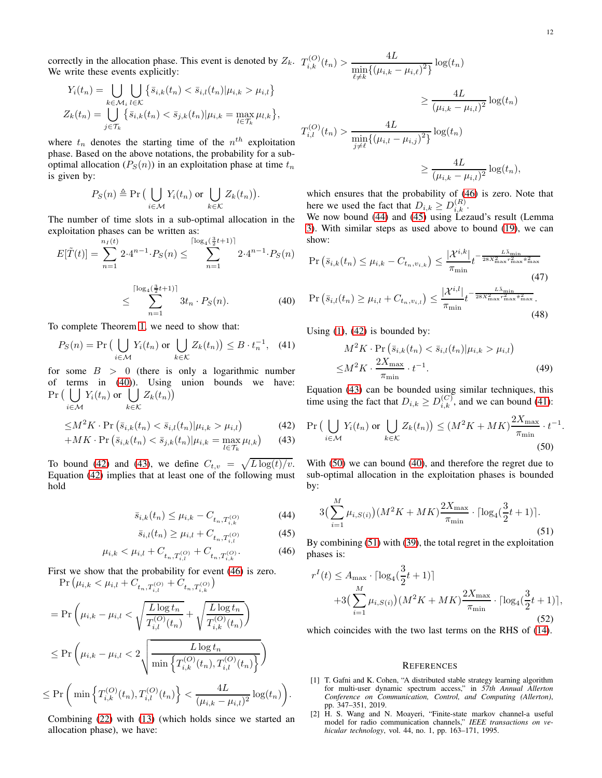<span id="page-11-7"></span>.

correctly in the allocation phase. This event is denoted by  $Z_k$ . We write these events explicitly:

$$
Y_i(t_n) = \bigcup_{k \in \mathcal{M}_i} \bigcup_{l \in \mathcal{K}} \left\{ \bar{s}_{i,k}(t_n) < \bar{s}_{i,l}(t_n) | \mu_{i,k} > \mu_{i,l} \right\}
$$
\n
$$
Z_k(t_n) = \bigcup_{j \in \mathcal{T}_k} \left\{ \bar{s}_{i,k}(t_n) < \bar{s}_{j,k}(t_n) | \mu_{i,k} = \max_{l \in \mathcal{T}_k} \mu_{l,k} \right\},
$$

where  $t_n$  denotes the starting time of the  $n^{th}$  exploitation phase. Based on the above notations, the probability for a suboptimal allocation ( $P_S(n)$ ) in an exploitation phase at time  $t_n$ is given by:

$$
P_S(n) \triangleq \Pr\big(\bigcup_{i \in \mathcal{M}} Y_i(t_n) \text{ or } \bigcup_{k \in \mathcal{K}} Z_k(t_n)\big).
$$

The number of time slots in a sub-optimal allocation in the exploitation phases can be written as:

$$
E[\tilde{T}(t)] = \sum_{n=1}^{n_I(t)} 2 \cdot 4^{n-1} \cdot P_S(n) \le \sum_{n=1}^{\lceil \log_4(\frac{3}{2}t+1) \rceil} 2 \cdot 4^{n-1} \cdot P_S(n)
$$

$$
\leq \sum_{n=1}^{\lceil \log_4(\frac{3}{2}t+1) \rceil} 3t_n \cdot P_S(n). \tag{40}
$$

To complete Theorem [1,](#page-5-2) we need to show that:

$$
P_S(n) = \Pr\left(\bigcup_{i \in \mathcal{M}} Y_i(t_n) \text{ or } \bigcup_{k \in \mathcal{K}} Z_k(t_n)\right) \leq B \cdot t_n^{-1}, \quad (41)
$$

for some  $B > 0$  (there is only a logarithmic number of terms in [\(40\)](#page-11-0)). Using union bounds we have:  $Pr($  | | i∈M  $Y_i(t_n)$  or  $\left(\begin{array}{c} \end{array}\right)$ k∈K  $Z_k(t_n)$ 

$$
\leq M^2 K \cdot \Pr\left(\bar{s}_{i,k}(t_n) < \bar{s}_{i,l}(t_n) | \mu_{i,k} > \mu_{i,l}\right) \tag{42}
$$

$$
+MK \cdot \Pr\left(\bar{s}_{i,k}(t_n) < \bar{s}_{j,k}(t_n) | \mu_{i,k} = \max_{l \in \mathcal{T}_k} \mu_{l,k}\right) \tag{43}
$$

To bound [\(42\)](#page-11-1) and [\(43\)](#page-11-2), we define  $C_{t,v} = \sqrt{L \log(t)/v}$ . Equation [\(42\)](#page-11-1) implies that at least one of the following must hold

$$
\bar{s}_{i,k}(t_n) \le \mu_{i,k} - C_{t_n, T_{i,k}^{(O)}} \tag{44}
$$

$$
\bar{s}_{i,l}(t_n) \ge \mu_{i,l} + C_{t_n, T_{i,l}^{(O)}} \tag{45}
$$

.

$$
\mu_{i,k} < \mu_{i,l} + C_{t_n, T_{i,l}^{(O)}} + C_{t_n, T_{i,k}^{(O)}}.\tag{46}
$$

First we show that the probability for event [\(46\)](#page-11-3) is zero.

$$
\Pr(\mu_{i,k} < \mu_{i,l} + C_{t_n, T_{i,l}^{(O)}} + C_{t_n, T_{i,k}^{(O)}})
$$
\n
$$
= \Pr\left(\mu_{i,k} - \mu_{i,l} < \sqrt{\frac{L \log t_n}{T_{i,l}^{(O)}(t_n)}} + \sqrt{\frac{L \log t_n}{T_{i,k}^{(O)}(t_n)}}\right)
$$
\n
$$
\leq \Pr\left(\mu_{i,k} - \mu_{i,l} < 2\sqrt{\frac{L \log t_n}{\min\left\{T_{i,k}^{(O)}(t_n), T_{i,l}^{(O)}(t_n)\right\}}}\right)
$$
\n
$$
\leq \Pr\left(\min\left\{T_{i,k}^{(O)}(t_n), T_{i,l}^{(O)}(t_n)\right\} < \frac{4L}{(\mu_{i,k} - \mu_{i,l})^2} \log(t_n)\right)
$$

Combining [\(22\)](#page-9-1) with [\(13\)](#page-5-0) (which holds since we started an allocation phase), we have:

$$
T_{i,k}^{(O)}(t_n) > \frac{4L}{\min_{\ell \neq k} \{(\mu_{i,k} - \mu_{i,\ell})^2\}} \log(t_n)
$$
  

$$
\geq \frac{4L}{(\mu_{i,k} - \mu_{i,l})^2} \log(t_n)
$$
  

$$
T_{i,l}^{(O)}(t_n) > \frac{4L}{\min_{j \neq \ell} \{(\mu_{i,l} - \mu_{i,j})^2\}} \log(t_n)
$$
  

$$
\geq \frac{4L}{(\mu_{i,k} - \mu_{i,l})^2} \log(t_n),
$$

 $\overline{A}$   $\overline{I}$ 

which ensures that the probability of [\(46\)](#page-11-3) is zero. Note that here we used the fact that  $D_{i,k} \geq D_{i,k}^{(R)}$ .

We now bound [\(44\)](#page-11-4) and [\(45\)](#page-11-5) using Lezaud's result (Lemma [3\)](#page-9-5). With similar steps as used above to bound [\(19\)](#page-8-1), we can show:

$$
\Pr\left(\bar{s}_{i,k}(t_n) \le \mu_{i,k} - C_{t_n, v_{i,k}}\right) \le \frac{|\mathcal{X}^{i,k}|}{\pi_{\min}} t^{-\frac{L\bar{\lambda}_{\min}}{28X_{\max}^2 r_{\max}^2 \pi_{\max}^2}} \tag{47}
$$
\n
$$
\Pr\left(\bar{s}_{i,l}(t_n) \ge \mu_{i,l} + C_{t_n, v_{i,l}}\right) \le \frac{|\mathcal{X}^{i,l}|}{\pi_{\min}} t^{-\frac{L\bar{\lambda}_{\min}}{28X_{\max}^2 r_{\max}^2 \pi_{\max}^2}} \tag{48}
$$

<span id="page-11-6"></span><span id="page-11-0"></span>Using  $(1)$ ,  $(42)$  is bounded by:

$$
M^2K \cdot \Pr\left(\bar{s}_{i,k}(t_n) < \bar{s}_{i,l}(t_n) | \mu_{i,k} > \mu_{i,l}\right)
$$
\n
$$
\leq M^2K \cdot \frac{2X_{\text{max}}}{\pi_{\text{min}}} \cdot t^{-1}.\tag{49}
$$

Equation [\(43\)](#page-11-2) can be bounded using similar techniques, this time using the fact that  $D_{i,k} \geq D_{i,k}^{(C)}$ , and we can bound [\(41\)](#page-11-6):

<span id="page-11-2"></span><span id="page-11-1"></span>
$$
\Pr\left(\bigcup_{i\in\mathcal{M}} Y_i(t_n) \text{ or } \bigcup_{k\in\mathcal{K}} Z_k(t_n)\right) \le (M^2K + MK)\frac{2X_{\max}}{\pi_{\min}} \cdot t^{-1}
$$
\n(50)

With [\(50\)](#page-11-7) we can bound [\(40\)](#page-11-0), and therefore the regret due to sub-optimal allocation in the exploitation phases is bounded by:

<span id="page-11-8"></span><span id="page-11-4"></span>
$$
3\left(\sum_{i=1}^{M} \mu_{i,S(i)}\right)(M^2K+MK)\frac{2X_{\max}}{\pi_{\min}} \cdot \lceil \log_4(\frac{3}{2}t+1) \rceil. \tag{51}
$$

<span id="page-11-5"></span><span id="page-11-3"></span>By combining [\(51\)](#page-11-8) with [\(39\)](#page-10-5), the total regret in the exploitation phases is:

$$
r^{I}(t) \leq A_{\max} \cdot \lceil \log_4(\frac{3}{2}t + 1) \rceil + 3\left(\sum_{i=1}^{M} \mu_{i, S(i)}\right)(M^{2}K + MK)^{\frac{2X_{\max}}{\pi_{\min}}} \cdot \lceil \log_4(\frac{3}{2}t + 1) \rceil,
$$
\n(52)

which coincides with the two last terms on the RHS of [\(14\)](#page-5-5).

#### **REFERENCES**

- [1] T. Gafni and K. Cohen, "A distributed stable strategy learning algorithm for multi-user dynamic spectrum access," in *57th Annual Allerton Conference on Communication, Control, and Computing (Allerton)*, pp. 347–351, 2019.
- [2] H. S. Wang and N. Moayeri, "Finite-state markov channel-a useful model for radio communication channels," *IEEE transactions on vehicular technology*, vol. 44, no. 1, pp. 163–171, 1995.